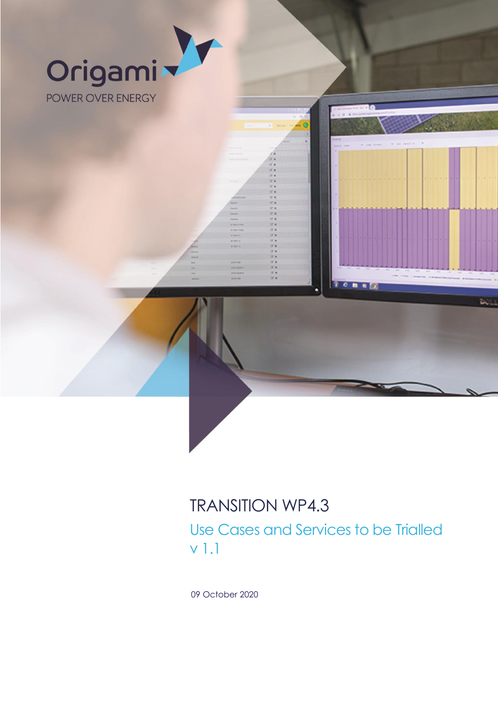

09 October 2020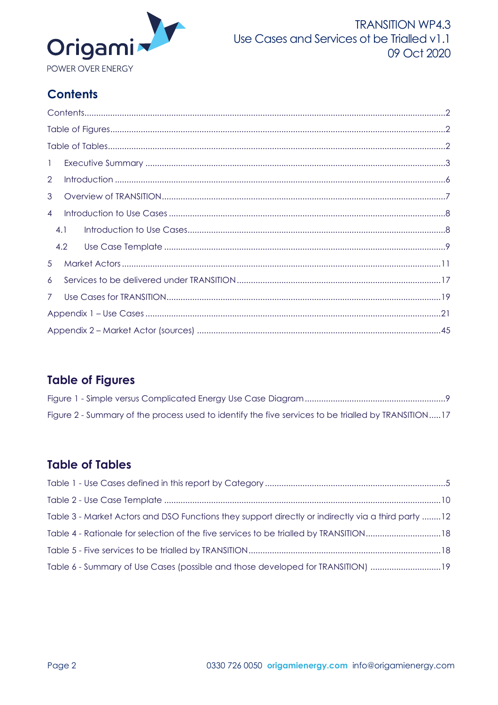

# <span id="page-1-0"></span>**Contents**

| $\mathbf{1}$   |  |  |  |  |  |  |  |
|----------------|--|--|--|--|--|--|--|
| $\overline{2}$ |  |  |  |  |  |  |  |
| 3              |  |  |  |  |  |  |  |
| $\overline{4}$ |  |  |  |  |  |  |  |
| 4.1            |  |  |  |  |  |  |  |
| 4.2            |  |  |  |  |  |  |  |
| 5              |  |  |  |  |  |  |  |
| 6              |  |  |  |  |  |  |  |
| 7 <sup>7</sup> |  |  |  |  |  |  |  |
|                |  |  |  |  |  |  |  |
|                |  |  |  |  |  |  |  |

# <span id="page-1-1"></span>**Table of Figures**

| Figure 2 - Summary of the process used to identify the five services to be trialled by TRANSITION17 |  |
|-----------------------------------------------------------------------------------------------------|--|

# <span id="page-1-2"></span>**Table of Tables**

| Table 3 - Market Actors and DSO Functions they support directly or indirectly via a third party 12 |  |
|----------------------------------------------------------------------------------------------------|--|
| Table 4 - Rationale for selection of the five services to be trialled by TRANSITION18              |  |
|                                                                                                    |  |
| Table 6 - Summary of Use Cases (possible and those developed for TRANSITION) 19                    |  |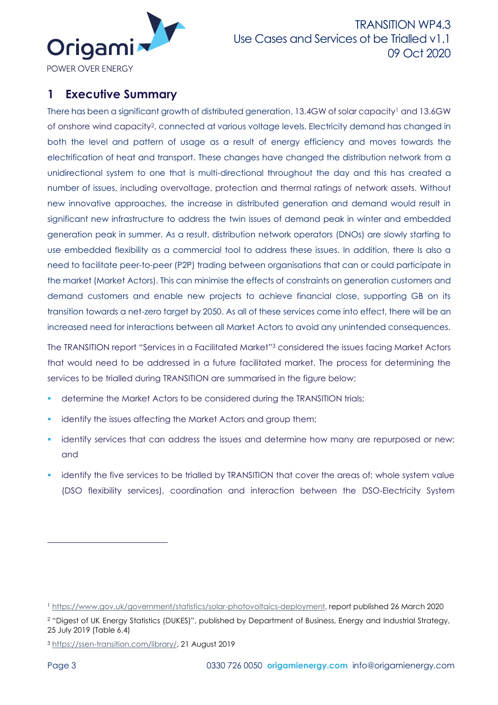

<span id="page-2-0"></span>**1 Executive Summary**

There has been a significant growth of distributed generation, 13.4GW of solar capacity<sup>1</sup> and 13.6GW of onshore wind capacity2, connected at various voltage levels. Electricity demand has changed in both the level and pattern of usage as a result of energy efficiency and moves towards the electrification of heat and transport. These changes have changed the distribution network from a unidirectional system to one that is multi-directional throughout the day and this has created a number of issues, including overvoltage, protection and thermal ratings of network assets. Without new innovative approaches, the increase in distributed generation and demand would result in significant new infrastructure to address the twin issues of demand peak in winter and embedded generation peak in summer. As a result, distribution network operators (DNOs) are slowly starting to use embedded flexibility as a commercial tool to address these issues. In addition, there Is also a need to facilitate peer-to-peer (P2P) trading between organisations that can or could participate in the market (Market Actors). This can minimise the effects of constraints on generation customers and demand customers and enable new projects to achieve financial close, supporting GB on its transition towards a net-zero target by 2050. As all of these services come into effect, there will be an increased need for interactions between all Market Actors to avoid any unintended consequences.

The TRANSITION report "Services in a Facilitated Market"<sup>3</sup> considered the issues facing Market Actors that would need to be addressed in a future facilitated market. The process for determining the services to be trialled during TRANSITION are summarised in the figure below;

- determine the Market Actors to be considered during the TRANSITION trials;
- identify the issues affecting the Market Actors and group them;
- identify services that can address the issues and determine how many are repurposed or new; and
- **.** identify the five services to be trialled by TRANSITION that cover the areas of; whole system value (DSO flexibility services), coordination and interaction between the DSO-Electricity System

<sup>2</sup> "Digest of UK Energy Statistics (DUKES)", published by Department of Business, Energy and Industrial Strategy, 25 July 2019 (Table 6.4)

<sup>3</sup> [https://ssen-transition.com/library/,](https://ssen-transition.com/library/) 21 August 2019

<sup>1</sup> [https://www.gov.uk/government/statistics/solar-photovoltaics-deployment,](https://www.gov.uk/government/statistics/solar-photovoltaics-deployment) report published 26 March 2020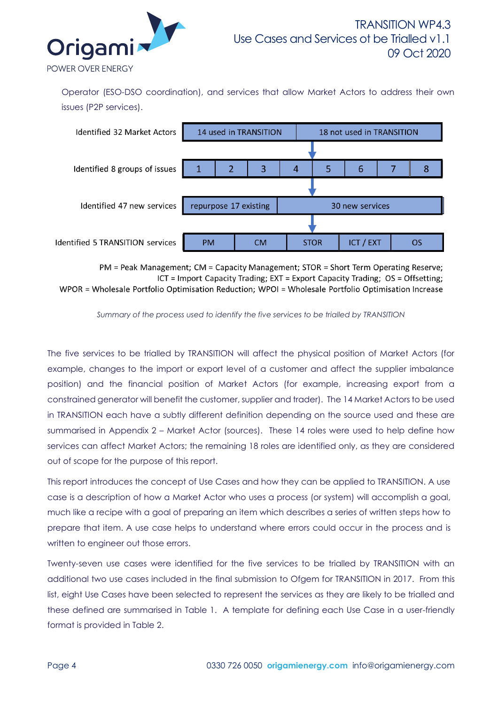

Operator (ESO-DSO coordination), and services that allow Market Actors to address their own issues (P2P services).



PM = Peak Management; CM = Capacity Management; STOR = Short Term Operating Reserve; ICT = Import Capacity Trading; EXT = Export Capacity Trading; OS = Offsetting; WPOR = Wholesale Portfolio Optimisation Reduction: WPOI = Wholesale Portfolio Optimisation Increase

The five services to be trialled by TRANSITION will affect the physical position of Market Actors (for example, changes to the import or export level of a customer and affect the supplier imbalance position) and the financial position of Market Actors (for example, increasing export from a constrained generator will benefit the customer, supplier and trader). The 14 Market Actors to be used in TRANSITION each have a subtly different definition depending on the source used and these are summarised in Appendix 2 – [Market Actor \(sources\).](#page-44-0) These 14 roles were used to help define how services can affect Market Actors; the remaining 18 roles are identified only, as they are considered out of scope for the purpose of this report.

This report introduces the concept of Use Cases and how they can be applied to TRANSITION. A use case is a description of how a Market Actor who uses a process (or system) will accomplish a goal, much like a recipe with a goal of preparing an item which describes a series of written steps how to prepare that item. A use case helps to understand where errors could occur in the process and is written to engineer out those errors.

Twenty-seven use cases were identified for the five services to be trialled by TRANSITION with an additional two use cases included in the final submission to Ofgem for TRANSITION in 2017. From this list, eight Use Cases have been selected to represent the services as they are likely to be trialled and these defined are summarised in [Table 1.](#page-4-0) A template for defining each Use Case in a user-friendly format is provided in [Table 2.](#page-9-0)

*Summary of the process used to identify the five services to be trialled by TRANSITION*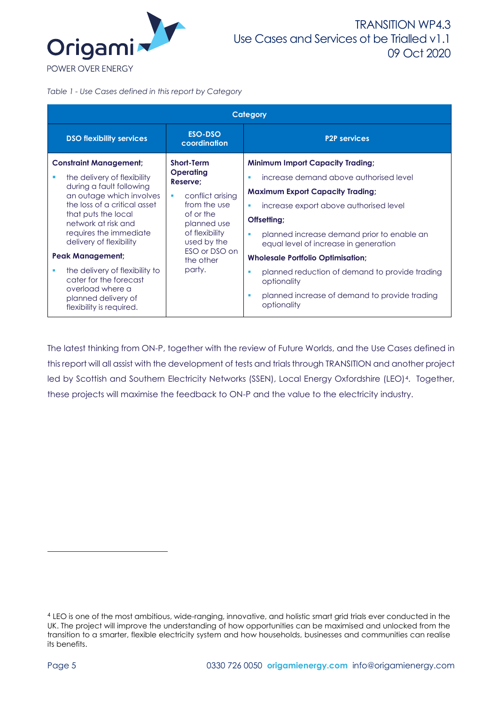

<span id="page-4-0"></span>*Table 1 - Use Cases defined in this report by Category*

|                                            |                                                                               |                                | Category                                                                                 |
|--------------------------------------------|-------------------------------------------------------------------------------|--------------------------------|------------------------------------------------------------------------------------------|
|                                            | <b>DSO flexibility services</b>                                               | ESO-DSO<br>coordination        | <b>P2P services</b>                                                                      |
|                                            | <b>Constraint Management;</b>                                                 | <b>Short-Term</b><br>Operating | <b>Minimum Import Capacity Trading;</b>                                                  |
|                                            | the delivery of flexibility                                                   | Reserve;                       | increase demand above authorised level<br>п                                              |
|                                            | during a fault following<br>an outage which involves<br>conflict arising<br>٠ |                                | <b>Maximum Export Capacity Trading;</b>                                                  |
|                                            | the loss of a critical asset                                                  | from the use                   | increase export above authorised level<br>п                                              |
| that puts the local<br>network at risk and |                                                                               | of or the<br>planned use       | Offsetting;                                                                              |
|                                            | requires the immediate<br>delivery of flexibility                             | of flexibility<br>used by the  | planned increase demand prior to enable an<br>٠<br>equal level of increase in generation |
|                                            | <b>Peak Management;</b>                                                       | ESO or DSO on<br>the other     | <b>Wholesale Portfolio Optimisation;</b>                                                 |
| п                                          | the delivery of flexibility to<br>cater for the forecast                      | party.                         | planned reduction of demand to provide trading<br>٠<br>optionality                       |
|                                            | overload where a<br>planned delivery of<br>flexibility is required.           |                                | planned increase of demand to provide trading<br>٠<br>optionality                        |

The latest thinking from ON-P, together with the review of Future Worlds, and the Use Cases defined in this report will all assist with the development of tests and trialsthrough TRANSITION and another project led by Scottish and Southern Electricity Networks (SSEN), Local Energy Oxfordshire (LEO)<sup>4</sup>. Together, these projects will maximise the feedback to ON-P and the value to the electricity industry.

<sup>4</sup> LEO is one of the most ambitious, wide-ranging, innovative, and holistic smart grid trials ever conducted in the UK. The project will improve the understanding of how opportunities can be maximised and unlocked from the transition to a smarter, flexible electricity system and how households, businesses and communities can realise its benefits.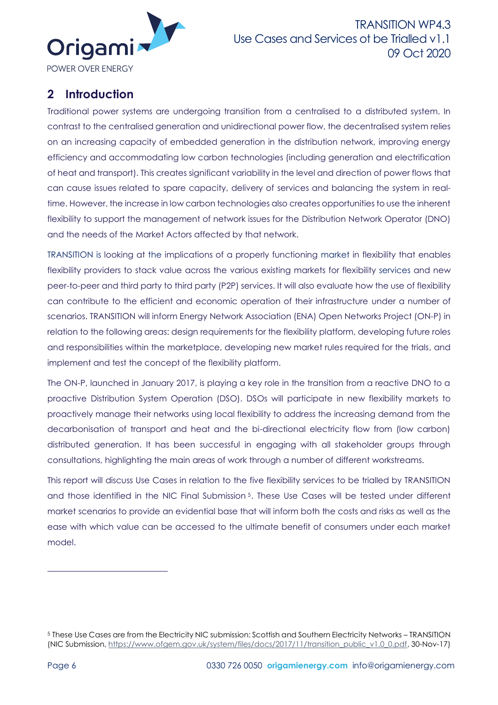

# <span id="page-5-0"></span>**2 Introduction**

Traditional power systems are undergoing transition from a centralised to a distributed system. In contrast to the centralised generation and unidirectional power flow, the decentralised system relies on an increasing capacity of embedded generation in the distribution network, improving energy efficiency and accommodating low carbon technologies (including generation and electrification of heat and transport). This creates significant variability in the level and direction of power flows that can cause issues related to spare capacity, delivery of services and balancing the system in realtime. However, the increase in low carbon technologies also creates opportunities to use the inherent flexibility to support the management of network issues for the Distribution Network Operator (DNO) and the needs of the Market Actors affected by that network.

TRANSITION is looking at the implications of a properly functioning market in flexibility that enables flexibility providers to stack value across the various existing markets for flexibility services and new peer-to-peer and third party to third party (P2P) services. It will also evaluate how the use of flexibility can contribute to the efficient and economic operation of their infrastructure under a number of scenarios. TRANSITION will inform Energy Network Association (ENA) Open Networks Project (ON-P) in relation to the following areas: design requirements for the flexibility platform, developing future roles and responsibilities within the marketplace, developing new market rules required for the trials, and implement and test the concept of the flexibility platform.

The ON-P, launched in January 2017, is playing a key role in the transition from a reactive DNO to a proactive Distribution System Operation (DSO). DSOs will participate in new flexibility markets to proactively manage their networks using local flexibility to address the increasing demand from the decarbonisation of transport and heat and the bi-directional electricity flow from (low carbon) distributed generation. It has been successful in engaging with all stakeholder groups through consultations, highlighting the main areas of work through a number of different workstreams.

This report will discuss Use Cases in relation to the five flexibility services to be trialled by TRANSITION and those identified in the NIC Final Submission<sup>5</sup>. These Use Cases will be tested under different market scenarios to provide an evidential base that will inform both the costs and risks as well as the ease with which value can be accessed to the ultimate benefit of consumers under each market model.

<sup>5</sup> These Use Cases are from the Electricity NIC submission: Scottish and Southern Electricity Networks – TRANSITION (NIC Submission[, https://www.ofgem.gov.uk/system/files/docs/2017/11/transition\\_public\\_v1.0\\_0.pdf,](https://www.ofgem.gov.uk/system/files/docs/2017/11/transition_public_v1.0_0.pdf) 30-Nov-17)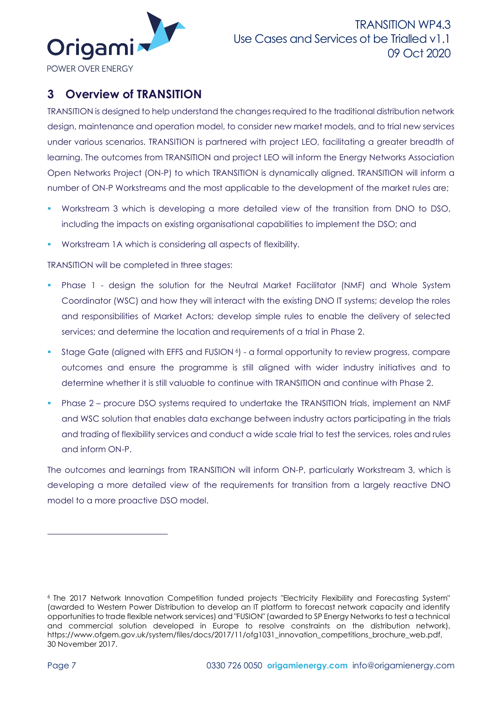

# <span id="page-6-0"></span>**3 Overview of TRANSITION**

TRANSITION is designed to help understand the changes required to the traditional distribution network design, maintenance and operation model, to consider new market models, and to trial new services under various scenarios. TRANSITION is partnered with project LEO, facilitating a greater breadth of learning. The outcomes from TRANSITION and project LEO will inform the Energy Networks Association Open Networks Project (ON-P) to which TRANSITION is dynamically aligned. TRANSITION will inform a number of ON-P Workstreams and the most applicable to the development of the market rules are;

- Workstream 3 which is developing a more detailed view of the transition from DNO to DSO, including the impacts on existing organisational capabilities to implement the DSO; and
- Workstream 1A which is considering all aspects of flexibility.

TRANSITION will be completed in three stages:

- **•** Phase 1 design the solution for the Neutral Market Facilitator (NMF) and Whole System Coordinator (WSC) and how they will interact with the existing DNO IT systems; develop the roles and responsibilities of Market Actors; develop simple rules to enable the delivery of selected services; and determine the location and requirements of a trial in Phase 2.
- **•** Stage Gate (aligned with EFFS and FUSION 6) a formal opportunity to review progress, compare outcomes and ensure the programme is still aligned with wider industry initiatives and to determine whether it is still valuable to continue with TRANSITION and continue with Phase 2.
- **•** Phase 2 procure DSO systems required to undertake the TRANSITION trials, implement an NMF and WSC solution that enables data exchange between industry actors participating in the trials and trading of flexibility services and conduct a wide scale trial to test the services, roles and rules and inform ON-P.

The outcomes and learnings from TRANSITION will inform ON-P, particularly Workstream 3, which is developing a more detailed view of the requirements for transition from a largely reactive DNO model to a more proactive DSO model.

<sup>&</sup>lt;sup>6</sup> The 2017 Network Innovation Competition funded projects "Electricity Flexibility and Forecasting System" (awarded to Western Power Distribution to develop an IT platform to forecast network capacity and identify opportunities to trade flexible network services) and "FUSION" (awarded to SP Energy Networks to test a technical and commercial solution developed in Europe to resolve constraints on the distribution network), https://www.ofgem.gov.uk/system/files/docs/2017/11/ofg1031\_innovation\_competitions\_brochure\_web.pdf, 30 November 2017.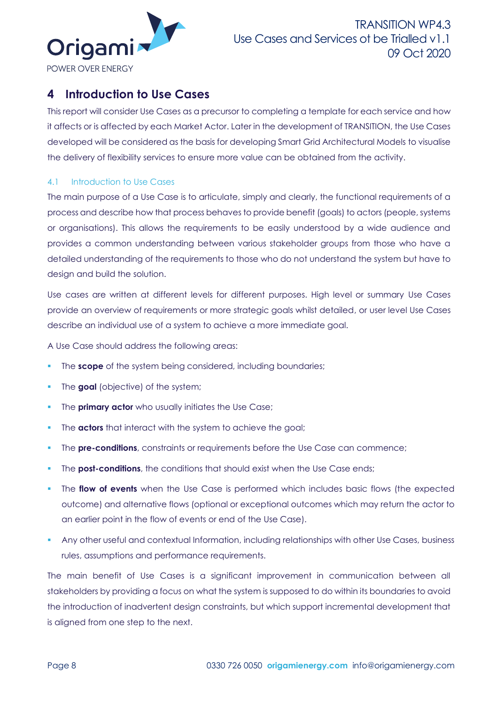

# <span id="page-7-0"></span>**4 Introduction to Use Cases**

This report will consider Use Cases as a precursor to completing a template for each service and how it affects or is affected by each Market Actor. Later in the development of TRANSITION, the Use Cases developed will be considered as the basis for developing Smart Grid Architectural Models to visualise the delivery of flexibility services to ensure more value can be obtained from the activity.

# <span id="page-7-1"></span>4.1 Introduction to Use Cases

The main purpose of a Use Case is to articulate, simply and clearly, the functional requirements of a process and describe how that process behaves to provide benefit (goals) to actors (people, systems or organisations). This allows the requirements to be easily understood by a wide audience and provides a common understanding between various stakeholder groups from those who have a detailed understanding of the requirements to those who do not understand the system but have to design and build the solution.

Use cases are written at different levels for different purposes. High level or summary Use Cases provide an overview of requirements or more strategic goals whilst detailed, or user level Use Cases describe an individual use of a system to achieve a more immediate goal.

A Use Case should address the following areas:

- The **scope** of the system being considered, including boundaries;
- The **goal** (objective) of the system;
- The **primary actor** who usually initiates the Use Case;
- The **actors** that interact with the system to achieve the goal;
- The **pre-conditions**, constraints or requirements before the Use Case can commence;
- The **post-conditions**, the conditions that should exist when the Use Case ends;
- The **flow of events** when the Use Case is performed which includes basic flows (the expected outcome) and alternative flows (optional or exceptional outcomes which may return the actor to an earlier point in the flow of events or end of the Use Case).
- Any other useful and contextual Information, including relationships with other Use Cases, business rules, assumptions and performance requirements.

The main benefit of Use Cases is a significant improvement in communication between all stakeholders by providing a focus on what the system is supposed to do within its boundaries to avoid the introduction of inadvertent design constraints, but which support incremental development that is aligned from one step to the next.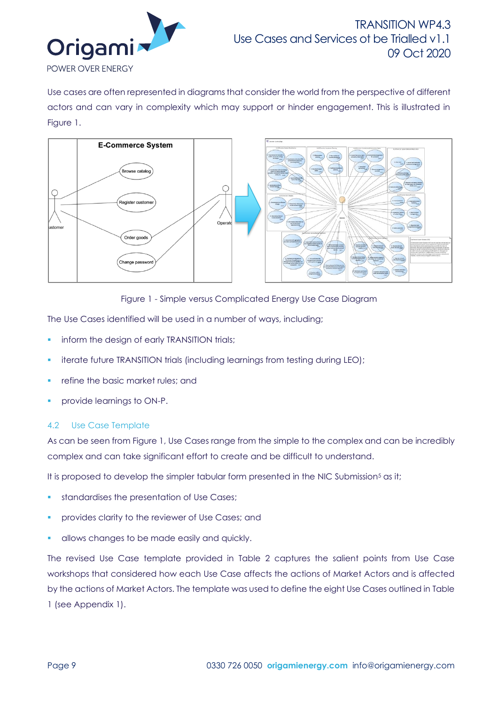

Use cases are often represented in diagrams that consider the world from the perspective of different actors and can vary in complexity which may support or hinder engagement. This is illustrated in [Figure 1.](#page-8-1)





<span id="page-8-1"></span>The Use Cases identified will be used in a number of ways, including;

- **·** inform the design of early TRANSITION trials;
- iterate future TRANSITION trials (including learnings from testing during LEO);
- refine the basic market rules; and
- provide learnings to ON-P.

### <span id="page-8-0"></span>4.2 Use Case Template

As can be seen from [Figure 1,](#page-8-1) Use Cases range from the simple to the complex and can be incredibly complex and can take significant effort to create and be difficult to understand.

It is proposed to develop the simpler tabular form presented in the NIC Submission<sup>5</sup> as it;

- standardises the presentation of Use Cases;
- provides clarity to the reviewer of Use Cases; and
- allows changes to be made easily and quickly.

The revised Use Case template provided in [Table 2](#page-9-0) captures the salient points from Use Case workshops that considered how each Use Case affects the actions of Market Actors and is affected by the actions of Market Actors. The template was used to define the eight Use Cases outlined i[n Table](#page-4-0)  [1](#page-4-0) (see Appendix 1).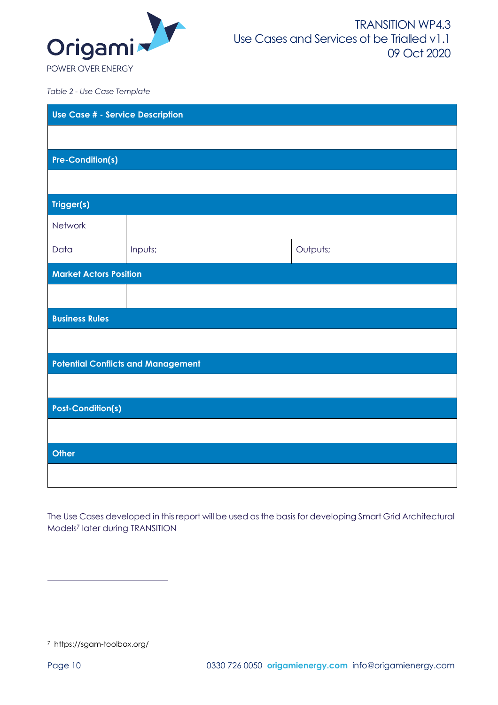

<span id="page-9-0"></span>*Table 2 - Use Case Template*

| Use Case # - Service Description |                                           |          |  |  |  |  |
|----------------------------------|-------------------------------------------|----------|--|--|--|--|
|                                  |                                           |          |  |  |  |  |
| <b>Pre-Condition(s)</b>          |                                           |          |  |  |  |  |
|                                  |                                           |          |  |  |  |  |
| Trigger(s)                       |                                           |          |  |  |  |  |
| Network                          |                                           |          |  |  |  |  |
| Data                             | Inputs;                                   | Outputs; |  |  |  |  |
| <b>Market Actors Position</b>    |                                           |          |  |  |  |  |
|                                  |                                           |          |  |  |  |  |
| <b>Business Rules</b>            |                                           |          |  |  |  |  |
|                                  |                                           |          |  |  |  |  |
|                                  | <b>Potential Conflicts and Management</b> |          |  |  |  |  |
|                                  |                                           |          |  |  |  |  |
|                                  | <b>Post-Condition(s)</b>                  |          |  |  |  |  |
|                                  |                                           |          |  |  |  |  |
| Other                            |                                           |          |  |  |  |  |
|                                  |                                           |          |  |  |  |  |

The Use Cases developed in this report will be used as the basis for developing Smart Grid Architectural Models <sup>7</sup> later during TRANSITION

7 https://sgam-toolbox.org/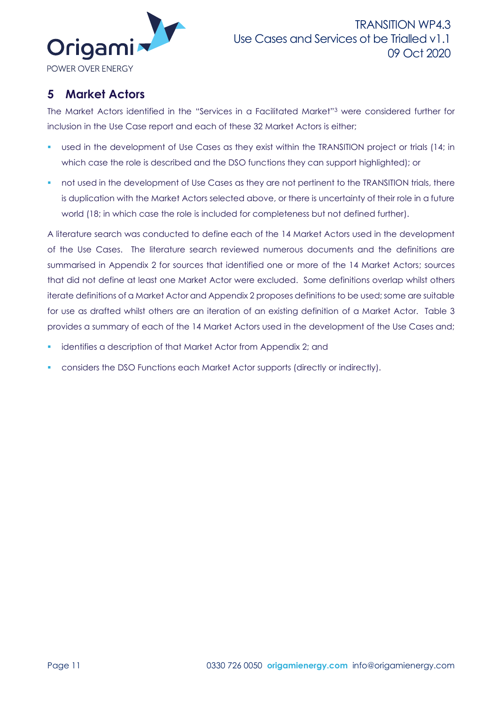

# <span id="page-10-0"></span>**5 Market Actors**

The Market Actors identified in the "Services in a Facilitated Market"<sup>3</sup> were considered further for inclusion in the Use Case report and each of these 32 Market Actors is either;

- used in the development of Use Cases as they exist within the TRANSITION project or trials (14; in which case the role is described and the DSO functions they can support highlighted); or
- **•** not used in the development of Use Cases as they are not pertinent to the TRANSITION trials, there is duplication with the Market Actors selected above, or there is uncertainty of their role in a future world (18; in which case the role is included for completeness but not defined further).

A literature search was conducted to define each of the 14 Market Actors used in the development of the Use Cases. The literature search reviewed numerous documents and the definitions are summarised in Appendix 2 for sources that identified one or more of the 14 Market Actors; sources that did not define at least one Market Actor were excluded. Some definitions overlap whilst others iterate definitions of a Market Actor and Appendix 2 proposes definitions to be used; some are suitable for use as drafted whilst others are an iteration of an existing definition of a Market Actor. [Table 3](#page-11-0) provides a summary of each of the 14 Market Actors used in the development of the Use Cases and;

- **•** identifies a description of that Market Actor from Appendix 2; and
- considers the DSO Functions each Market Actor supports (directly or indirectly).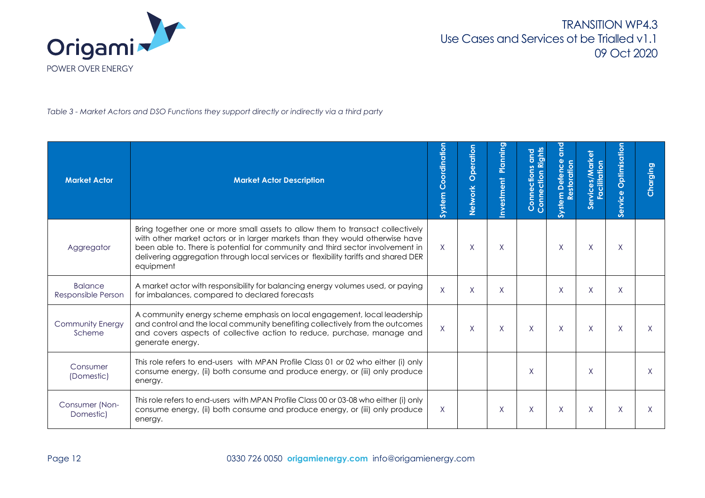

*Table 3 - Market Actors and DSO Functions they support directly or indirectly via a third party*

<span id="page-11-0"></span>

| <b>Market Actor</b>                  | <b>Market Actor Description</b>                                                                                                                                                                                                                                                                                                                      | Coordination<br>System | Operation<br>Network | Planning<br>nvestment | <b>Pup</b><br>Rights<br>ctions<br>Conne<br>Conne | ã<br>Ō<br>System | ō.<br>ă<br>Facilitation<br>ic<br><b>S</b> | Optimisatio<br>ervice<br>Ū | Charging |
|--------------------------------------|------------------------------------------------------------------------------------------------------------------------------------------------------------------------------------------------------------------------------------------------------------------------------------------------------------------------------------------------------|------------------------|----------------------|-----------------------|--------------------------------------------------|------------------|-------------------------------------------|----------------------------|----------|
| Aggregator                           | Bring together one or more small assets to allow them to transact collectively<br>with other market actors or in larger markets than they would otherwise have<br>been able to. There is potential for community and third sector involvement in<br>delivering aggregation through local services or flexibility tariffs and shared DER<br>equipment | $\mathsf{X}$           | $\times$             | X                     |                                                  | X                | X                                         | X                          |          |
| <b>Balance</b><br>Responsible Person | A market actor with responsibility for balancing energy volumes used, or paying<br>for imbalances, compared to declared forecasts                                                                                                                                                                                                                    | $\mathsf{X}$           | $\sf X$              | X                     |                                                  | X                | $\sf X$                                   | $\sf X$                    |          |
| <b>Community Energy</b><br>Scheme    | A community energy scheme emphasis on local engagement, local leadership<br>and control and the local community benefiting collectively from the outcomes<br>and covers aspects of collective action to reduce, purchase, manage and<br>generate energy.                                                                                             | $\sf X$                | X                    | $\mathsf{X}$          | $\sf X$                                          | X                | X                                         | $\sf X$                    |          |
| Consumer<br>(Domestic)               | This role refers to end-users with MPAN Profile Class 01 or 02 who either (i) only<br>consume energy, (ii) both consume and produce energy, or (iii) only produce<br>energy.                                                                                                                                                                         |                        |                      |                       | X                                                |                  | $\times$                                  |                            | X        |
| Consumer (Non-<br>Domestic)          | This role refers to end-users with MPAN Profile Class 00 or 03-08 who either (i) only<br>consume energy, (ii) both consume and produce energy, or (iii) only produce<br>energy.                                                                                                                                                                      | $\sf X$                |                      | X.                    | X                                                | X                | X                                         | X                          | X        |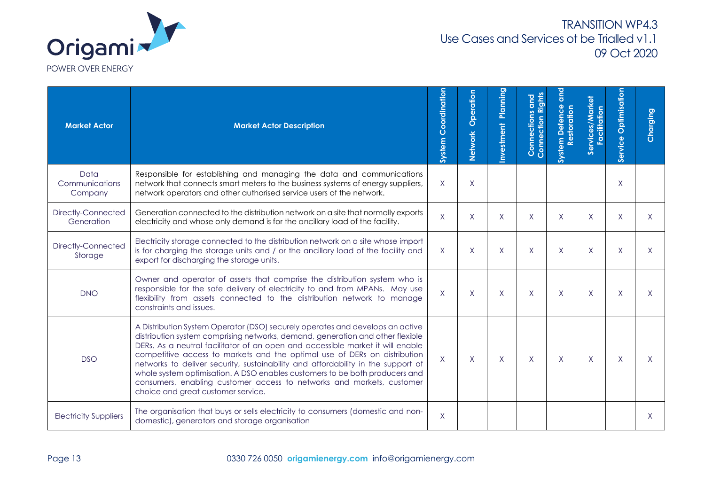

| <b>Market Actor</b>               | <b>Market Actor Description</b>                                                                                                                                                                                                                                                                                                                                                                                                                                                                                                                                                                                  | Coordination<br>System | Operation<br>Network | Planning<br>nvestment | Rights<br><b>Connections and</b><br>ction<br>Connec | and<br>ဗိ<br>ă<br>System | es/Market<br>Facilitation<br>Service | Optimisation<br>Service | Charging |
|-----------------------------------|------------------------------------------------------------------------------------------------------------------------------------------------------------------------------------------------------------------------------------------------------------------------------------------------------------------------------------------------------------------------------------------------------------------------------------------------------------------------------------------------------------------------------------------------------------------------------------------------------------------|------------------------|----------------------|-----------------------|-----------------------------------------------------|--------------------------|--------------------------------------|-------------------------|----------|
| Data<br>Communications<br>Company | Responsible for establishing and managing the data and communications<br>network that connects smart meters to the business systems of energy suppliers,<br>network operators and other authorised service users of the network.                                                                                                                                                                                                                                                                                                                                                                                 | $\mathsf{X}$           | $\sf X$              |                       |                                                     |                          |                                      | X                       |          |
| Directly-Connected<br>Generation  | Generation connected to the distribution network on a site that normally exports<br>electricity and whose only demand is for the ancillary load of the facility.                                                                                                                                                                                                                                                                                                                                                                                                                                                 | X                      | X                    | X                     | X                                                   | X                        | X                                    | X                       | X.       |
| Directly-Connected<br>Storage     | Electricity storage connected to the distribution network on a site whose import<br>is for charging the storage units and / or the ancillary load of the facility and<br>export for discharging the storage units.                                                                                                                                                                                                                                                                                                                                                                                               | X                      | X                    | X.                    | X                                                   | X                        | X                                    | X                       | X.       |
| <b>DNO</b>                        | Owner and operator of assets that comprise the distribution system who is<br>responsible for the safe delivery of electricity to and from MPANs. May use<br>flexibility from assets connected to the distribution network to manage<br>constraints and issues.                                                                                                                                                                                                                                                                                                                                                   | $\sf X$                | $\sf X$              | X                     | $\sf X$                                             | X                        | $\sf X$                              | X                       |          |
| <b>DSO</b>                        | A Distribution System Operator (DSO) securely operates and develops an active<br>distribution system comprising networks, demand, generation and other flexible<br>DERs. As a neutral facilitator of an open and accessible market it will enable<br>competitive access to markets and the optimal use of DERs on distribution<br>networks to deliver security, sustainability and affordability in the support of<br>whole system optimisation. A DSO enables customers to be both producers and<br>consumers, enabling customer access to networks and markets, customer<br>choice and great customer service. | $\sf X$                | X                    | X.                    | X                                                   | X                        | $\mathsf{X}$                         | X                       | X.       |
| <b>Electricity Suppliers</b>      | The organisation that buys or sells electricity to consumers (domestic and non-<br>domestic), generators and storage organisation                                                                                                                                                                                                                                                                                                                                                                                                                                                                                | $\sf X$                |                      |                       |                                                     |                          |                                      |                         | X        |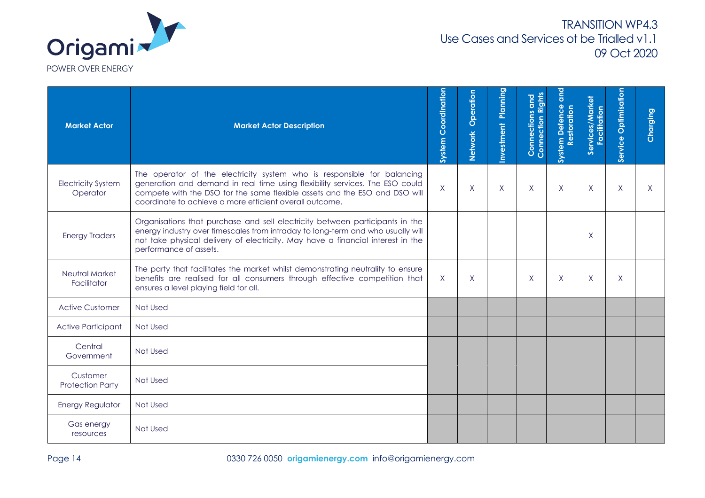

| <b>Market Actor</b>                   | <b>Market Actor Description</b>                                                                                                                                                                                                                                                                  | <b>System Coordination</b> | Operation<br>Network | <b>Planning</b><br><b>Investment</b> | <b>and</b><br><b>Right</b><br>Connections<br>Connection | <b>Dub</b><br>System Defence<br>Restoration | Services/Market<br>Facilitation | Service Optimisation | Charging |
|---------------------------------------|--------------------------------------------------------------------------------------------------------------------------------------------------------------------------------------------------------------------------------------------------------------------------------------------------|----------------------------|----------------------|--------------------------------------|---------------------------------------------------------|---------------------------------------------|---------------------------------|----------------------|----------|
| <b>Electricity System</b><br>Operator | The operator of the electricity system who is responsible for balancing<br>generation and demand in real time using flexibility services. The ESO could<br>compete with the DSO for the same flexible assets and the ESO and DSO will<br>coordinate to achieve a more efficient overall outcome. | $\mathsf{X}$               | X                    | X                                    | X                                                       | $\mathsf{X}$                                | X                               | X                    | Χ        |
| <b>Energy Traders</b>                 | Organisations that purchase and sell electricity between participants in the<br>energy industry over timescales from intraday to long-term and who usually will<br>not take physical delivery of electricity. May have a financial interest in the<br>performance of assets.                     |                            |                      |                                      |                                                         |                                             | X                               |                      |          |
| <b>Neutral Market</b><br>Facilitator  | The party that facilitates the market whilst demonstrating neutrality to ensure<br>benefits are realised for all consumers through effective competition that<br>ensures a level playing field for all.                                                                                          | $\mathsf{X}$               | X                    |                                      | X                                                       | $\mathsf{X}$                                | $\sf X$                         | X                    |          |
| <b>Active Customer</b>                | Not Used                                                                                                                                                                                                                                                                                         |                            |                      |                                      |                                                         |                                             |                                 |                      |          |
| <b>Active Participant</b>             | Not Used                                                                                                                                                                                                                                                                                         |                            |                      |                                      |                                                         |                                             |                                 |                      |          |
| Central<br>Government                 | Not Used                                                                                                                                                                                                                                                                                         |                            |                      |                                      |                                                         |                                             |                                 |                      |          |
| Customer<br><b>Protection Party</b>   | Not Used                                                                                                                                                                                                                                                                                         |                            |                      |                                      |                                                         |                                             |                                 |                      |          |
| <b>Energy Regulator</b>               | Not Used                                                                                                                                                                                                                                                                                         |                            |                      |                                      |                                                         |                                             |                                 |                      |          |
| Gas energy<br>resources               | Not Used                                                                                                                                                                                                                                                                                         |                            |                      |                                      |                                                         |                                             |                                 |                      |          |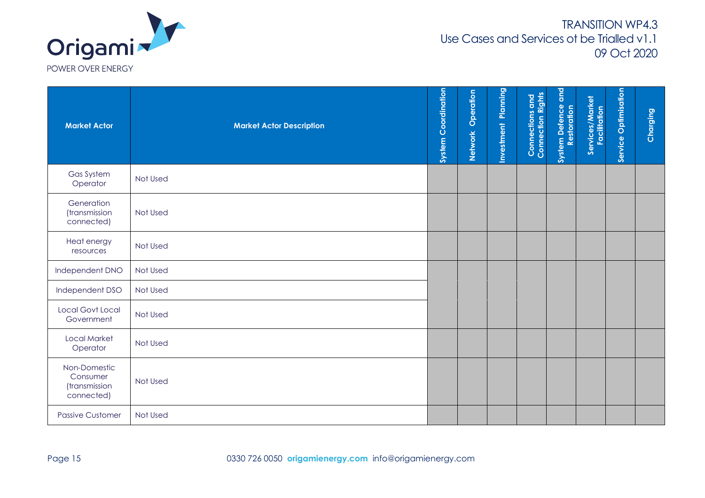

| <b>Market Actor</b>                                     | <b>Market Actor Description</b> | <b>System Coordination</b> | Operation<br>Network | <b>Investment Planning</b> | <b>Connections and<br/>Connection Rights</b> | land<br>System Defence of | Services/Market<br>Facilitation | Service Optimisation | Charging |
|---------------------------------------------------------|---------------------------------|----------------------------|----------------------|----------------------------|----------------------------------------------|---------------------------|---------------------------------|----------------------|----------|
| Gas System<br>Operator                                  | Not Used                        |                            |                      |                            |                                              |                           |                                 |                      |          |
| Generation<br>(transmission<br>connected)               | Not Used                        |                            |                      |                            |                                              |                           |                                 |                      |          |
| Heat energy<br>resources                                | Not Used                        |                            |                      |                            |                                              |                           |                                 |                      |          |
| Independent DNO                                         | Not Used                        |                            |                      |                            |                                              |                           |                                 |                      |          |
| Independent DSO                                         | Not Used                        |                            |                      |                            |                                              |                           |                                 |                      |          |
| <b>Local Govt Local</b><br>Government                   | Not Used                        |                            |                      |                            |                                              |                           |                                 |                      |          |
| <b>Local Market</b><br>Operator                         | Not Used                        |                            |                      |                            |                                              |                           |                                 |                      |          |
| Non-Domestic<br>Consumer<br>(transmission<br>connected) | Not Used                        |                            |                      |                            |                                              |                           |                                 |                      |          |
| <b>Passive Customer</b>                                 | Not Used                        |                            |                      |                            |                                              |                           |                                 |                      |          |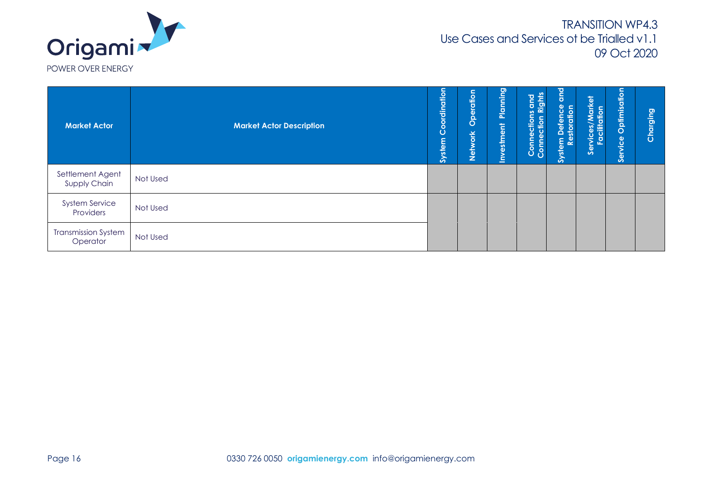

| <b>Market Actor</b>                    | <b>Market Actor Description</b> | Coordination<br><b>System</b> | Operation<br>Network | Planning<br>ent<br>en<br>est<br>$\sum_{i=1}^{n}$ | ठ<br>Right:<br>$\mathbf{a}$<br>$\boldsymbol{\omega}$<br>ion<br>#<br>Conne<br>Conne | <b>laid</b><br>nce<br>tion<br>System De<br>Restd | Services/Market<br>Facilitation | Optimisation<br>Service | Charging |
|----------------------------------------|---------------------------------|-------------------------------|----------------------|--------------------------------------------------|------------------------------------------------------------------------------------|--------------------------------------------------|---------------------------------|-------------------------|----------|
| Settlement Agent<br>Supply Chain       | Not Used                        |                               |                      |                                                  |                                                                                    |                                                  |                                 |                         |          |
| <b>System Service</b><br>Providers     | Not Used                        |                               |                      |                                                  |                                                                                    |                                                  |                                 |                         |          |
| <b>Transmission System</b><br>Operator | Not Used                        |                               |                      |                                                  |                                                                                    |                                                  |                                 |                         |          |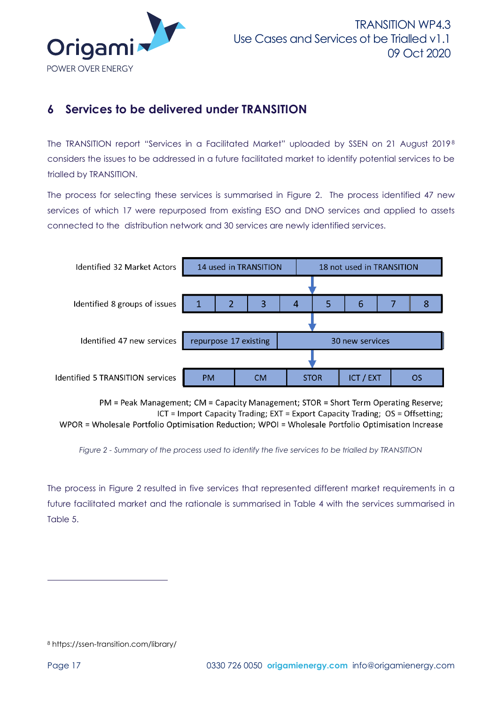

# <span id="page-16-0"></span>**6 Services to be delivered under TRANSITION**

The TRANSITION report "Services in a Facilitated Market" uploaded by SSEN on 21 August 2019<sup>8</sup> considers the issues to be addressed in a future facilitated market to identify potential services to be trialled by TRANSITION.

The process for selecting these services is summarised in [Figure 2.](#page-16-1) The process identified 47 new services of which 17 were repurposed from existing ESO and DNO services and applied to assets connected to the distribution network and 30 services are newly identified services.



PM = Peak Management; CM = Capacity Management; STOR = Short Term Operating Reserve; ICT = Import Capacity Trading; EXT = Export Capacity Trading;  $OS = Offsetting;$ WPOR = Wholesale Portfolio Optimisation Reduction; WPOI = Wholesale Portfolio Optimisation Increase

<span id="page-16-1"></span>*Figure 2 - Summary of the process used to identify the five services to be trialled by TRANSITION*

The process in [Figure 2](#page-16-1) resulted in five services that represented different market requirements in a future facilitated market and the rationale is summarised in [Table 4](#page-17-0) with the services summarised in [Table 5.](#page-17-1)

<sup>8</sup> https://ssen-transition.com/library/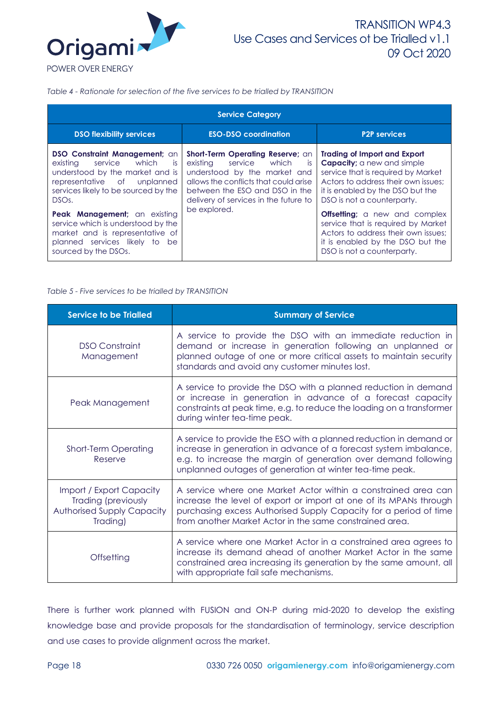

#### <span id="page-17-0"></span>*Table 4 - Rationale for selection of the five services to be trialled by TRANSITION*

|                                                                                                                                                                                                                                                                                                                                                                             | <b>Service Category</b>                                                                                                                                                                                                                         |                                                                                                                                                                                                                                                                                                                                                                                                                  |
|-----------------------------------------------------------------------------------------------------------------------------------------------------------------------------------------------------------------------------------------------------------------------------------------------------------------------------------------------------------------------------|-------------------------------------------------------------------------------------------------------------------------------------------------------------------------------------------------------------------------------------------------|------------------------------------------------------------------------------------------------------------------------------------------------------------------------------------------------------------------------------------------------------------------------------------------------------------------------------------------------------------------------------------------------------------------|
| <b>DSO flexibility services</b>                                                                                                                                                                                                                                                                                                                                             | <b>ESO-DSO coordination</b>                                                                                                                                                                                                                     | <b>P2P services</b>                                                                                                                                                                                                                                                                                                                                                                                              |
| <b>DSO Constraint Management</b> ; an<br>service which<br>existing<br>is.<br>understood by the market and is<br>representative of unplanned<br>services likely to be sourced by the<br>DSO <sub>s</sub> .<br>Peak Management; an existing<br>service which is understood by the<br>market and is representative of<br>planned services likely to be<br>sourced by the DSOs. | <b>Short-Term Operating Reserve; an</b><br>existing<br>service which<br>is.<br>understood by the market and<br>allows the conflicts that could arise<br>between the ESO and DSO in the<br>delivery of services in the future to<br>be explored. | <b>Trading of Import and Export</b><br><b>Capacity</b> ; a new and simple<br>service that is required by Market<br>Actors to address their own issues:<br>it is enabled by the DSO but the<br>DSO is not a counterparty.<br><b>Offsetting</b> ; a new and complex<br>service that is required by Market<br>Actors to address their own issues:<br>it is enabled by the DSO but the<br>DSO is not a counterparty. |

#### <span id="page-17-1"></span>*Table 5 - Five services to be trialled by TRANSITION*

| <b>Service to be Trialled</b>                                                                    | <b>Summary of Service</b>                                                                                                                                                                                                                                              |
|--------------------------------------------------------------------------------------------------|------------------------------------------------------------------------------------------------------------------------------------------------------------------------------------------------------------------------------------------------------------------------|
| <b>DSO</b> Constraint<br>Management                                                              | A service to provide the DSO with an immediate reduction in<br>demand or increase in generation following an unplanned or<br>planned outage of one or more critical assets to maintain security<br>standards and avoid any customer minutes lost.                      |
| Peak Management                                                                                  | A service to provide the DSO with a planned reduction in demand<br>or increase in generation in advance of a forecast capacity<br>constraints at peak time, e.g. to reduce the loading on a transformer<br>during winter tea-time peak.                                |
| <b>Short-Term Operating</b><br>Reserve                                                           | A service to provide the ESO with a planned reduction in demand or<br>increase in generation in advance of a forecast system imbalance,<br>e.g. to increase the margin of generation over demand following<br>unplanned outages of generation at winter tea-time peak. |
| Import / Export Capacity<br>Trading (previously<br><b>Authorised Supply Capacity</b><br>Trading) | A service where one Market Actor within a constrained area can<br>increase the level of export or import at one of its MPANs through<br>purchasing excess Authorised Supply Capacity for a period of time<br>from another Market Actor in the same constrained area.   |
| Offsetting                                                                                       | A service where one Market Actor in a constrained area agrees to<br>increase its demand ahead of another Market Actor in the same<br>constrained area increasing its generation by the same amount, all<br>with appropriate fail safe mechanisms.                      |

There is further work planned with FUSION and ON-P during mid-2020 to develop the existing knowledge base and provide proposals for the standardisation of terminology, service description and use cases to provide alignment across the market.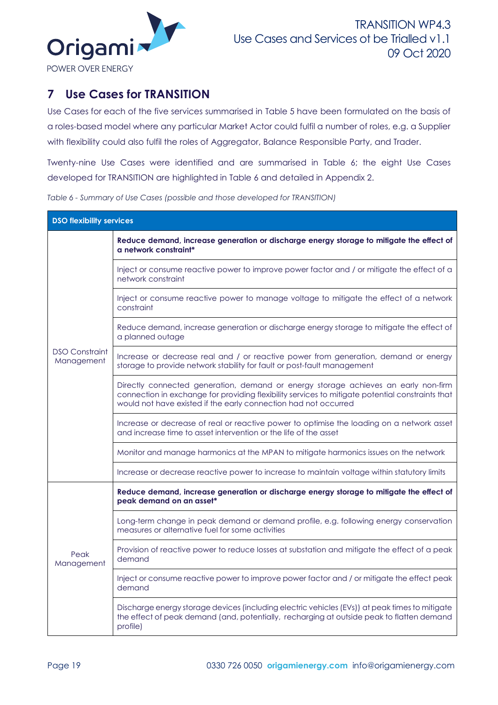

# <span id="page-18-0"></span>**7 Use Cases for TRANSITION**

Use Cases for each of the five services summarised in [Table 5](#page-17-1) have been formulated on the basis of a roles-based model where any particular Market Actor could fulfil a number of roles, e.g. a Supplier with flexibility could also fulfil the roles of Aggregator, Balance Responsible Party, and Trader.

Twenty-nine Use Cases were identified and are summarised in [Table 6;](#page-18-1) the eight Use Cases developed for TRANSITION are highlighted in [Table 6](#page-18-1) and detailed in Appendix 2.

<span id="page-18-1"></span>*Table 6 - Summary of Use Cases (possible and those developed for TRANSITION)*

| <b>DSO flexibility services</b>     |                                                                                                                                                                                                                                                           |  |
|-------------------------------------|-----------------------------------------------------------------------------------------------------------------------------------------------------------------------------------------------------------------------------------------------------------|--|
|                                     | Reduce demand, increase generation or discharge energy storage to mitigate the effect of<br>a network constraint*                                                                                                                                         |  |
|                                     | Inject or consume reactive power to improve power factor and / or mitigate the effect of a<br>network constraint                                                                                                                                          |  |
|                                     | Inject or consume reactive power to manage voltage to mitigate the effect of a network<br>constraint                                                                                                                                                      |  |
|                                     | Reduce demand, increase generation or discharge energy storage to mitigate the effect of<br>a planned outage                                                                                                                                              |  |
| <b>DSO Constraint</b><br>Management | Increase or decrease real and / or reactive power from generation, demand or energy<br>storage to provide network stability for fault or post-fault management                                                                                            |  |
|                                     | Directly connected generation, demand or energy storage achieves an early non-firm<br>connection in exchange for providing flexibility services to mitigate potential constraints that<br>would not have existed if the early connection had not occurred |  |
|                                     | Increase or decrease of real or reactive power to optimise the loading on a network asset<br>and increase time to asset intervention or the life of the asset                                                                                             |  |
|                                     | Monitor and manage harmonics at the MPAN to mitigate harmonics issues on the network                                                                                                                                                                      |  |
|                                     | Increase or decrease reactive power to increase to maintain voltage within statutory limits                                                                                                                                                               |  |
|                                     | Reduce demand, increase generation or discharge energy storage to mitigate the effect of<br>peak demand on an asset*                                                                                                                                      |  |
| Peak<br>Management                  | Long-term change in peak demand or demand profile, e.g. following energy conservation<br>measures or alternative fuel for some activities                                                                                                                 |  |
|                                     | Provision of reactive power to reduce losses at substation and mitigate the effect of a peak<br>demand                                                                                                                                                    |  |
|                                     | Inject or consume reactive power to improve power factor and / or mitigate the effect peak<br>demand                                                                                                                                                      |  |
|                                     | Discharge energy storage devices (including electric vehicles (EVs)) at peak times to mitigate<br>the effect of peak demand (and, potentially, recharging at outside peak to flatten demand<br>profile)                                                   |  |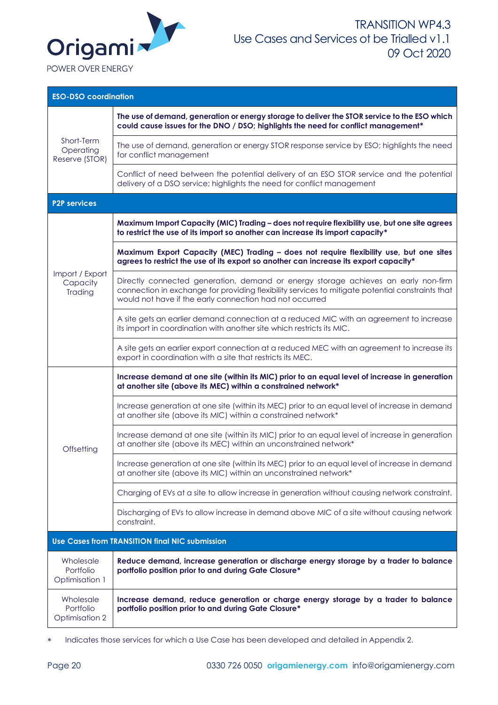

| <b>ESO-DSO coordination</b>                     |                                                                                                                                                                                                                                                   |  |
|-------------------------------------------------|---------------------------------------------------------------------------------------------------------------------------------------------------------------------------------------------------------------------------------------------------|--|
| Short-Term<br>Operating<br>Reserve (STOR)       | The use of demand, generation or energy storage to deliver the STOR service to the ESO which<br>could cause issues for the DNO / DSO; highlights the need for conflict management*                                                                |  |
|                                                 | The use of demand, generation or energy STOR response service by ESO; highlights the need<br>for conflict management                                                                                                                              |  |
|                                                 | Conflict of need between the potential delivery of an ESO STOR service and the potential<br>delivery of a DSO service; highlights the need for conflict management                                                                                |  |
| <b>P2P services</b>                             |                                                                                                                                                                                                                                                   |  |
|                                                 | Maximum Import Capacity (MIC) Trading - does not require flexibility use, but one site agrees<br>to restrict the use of its import so another can increase its import capacity*                                                                   |  |
|                                                 | Maximum Export Capacity (MEC) Trading - does not require flexibility use, but one sites<br>agrees to restrict the use of its export so another can increase its export capacity*                                                                  |  |
| Import / Export<br>Capacity<br>Trading          | Directly connected generation, demand or energy storage achieves an early non-firm<br>connection in exchange for providing flexibility services to mitigate potential constraints that<br>would not have if the early connection had not occurred |  |
|                                                 | A site gets an earlier demand connection at a reduced MIC with an agreement to increase<br>its import in coordination with another site which restricts its MIC.                                                                                  |  |
|                                                 | A site gets an earlier export connection at a reduced MEC with an agreement to increase its<br>export in coordination with a site that restricts its MEC.                                                                                         |  |
|                                                 | Increase demand at one site (within its MIC) prior to an equal level of increase in generation<br>at another site (above its MEC) within a constrained network*                                                                                   |  |
|                                                 | Increase generation at one site (within its MEC) prior to an equal level of increase in demand<br>at another site (above its MIC) within a constrained network*                                                                                   |  |
| Offsetting                                      | Increase demand at one site (within its MIC) prior to an equal level of increase in generation<br>at another site (above its MEC) within an unconstrained network*                                                                                |  |
|                                                 | Increase generation at one site (within its MEC) prior to an equal level of increase in demand<br>at another site (above its MIC) within an unconstrained network*                                                                                |  |
|                                                 | Charging of EVs at a site to allow increase in generation without causing network constraint.                                                                                                                                                     |  |
|                                                 | Discharging of EVs to allow increase in demand above MIC of a site without causing network<br>constraint.                                                                                                                                         |  |
|                                                 | <b>Use Cases from TRANSITION final NIC submission</b>                                                                                                                                                                                             |  |
| Wholesale<br>Portfolio<br><b>Optimisation 1</b> | Reduce demand, increase generation or discharge energy storage by a trader to balance<br>portfolio position prior to and during Gate Closure*                                                                                                     |  |
| Wholesale<br>Portfolio<br>Optimisation 2        | Increase demand, reduce generation or charge energy storage by a trader to balance<br>portfolio position prior to and during Gate Closure*                                                                                                        |  |

\* Indicates those services for which a Use Case has been developed and detailed in Appendix 2.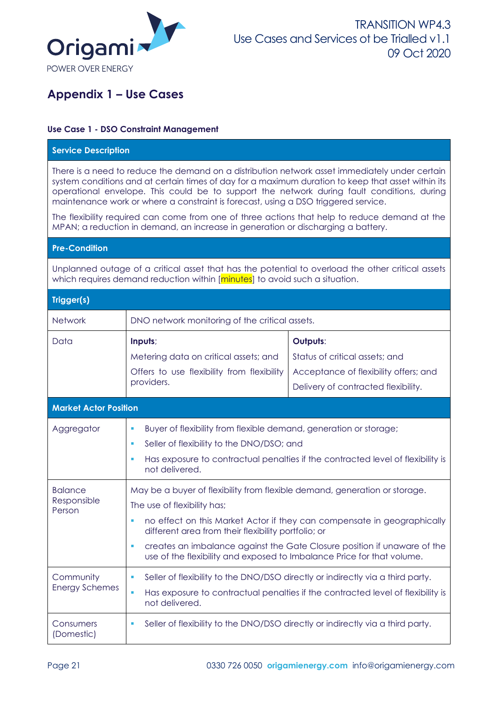

# <span id="page-20-0"></span>**Appendix 1 – Use Cases**

### **Use Case 1 - DSO Constraint Management**

| <b>Service Description</b>                                                                                                                                                                                                                                                                                                                                                                                                                                                                                                                                                    |                                                                                                                                                                                                                                                                                                                                                                                                        |                                                                                                                            |
|-------------------------------------------------------------------------------------------------------------------------------------------------------------------------------------------------------------------------------------------------------------------------------------------------------------------------------------------------------------------------------------------------------------------------------------------------------------------------------------------------------------------------------------------------------------------------------|--------------------------------------------------------------------------------------------------------------------------------------------------------------------------------------------------------------------------------------------------------------------------------------------------------------------------------------------------------------------------------------------------------|----------------------------------------------------------------------------------------------------------------------------|
| There is a need to reduce the demand on a distribution network asset immediately under certain<br>system conditions and at certain times of day for a maximum duration to keep that asset within its<br>operational envelope. This could be to support the network during fault conditions, during<br>maintenance work or where a constraint is forecast, using a DSO triggered service.<br>The flexibility required can come from one of three actions that help to reduce demand at the<br>MPAN; a reduction in demand, an increase in generation or discharging a battery. |                                                                                                                                                                                                                                                                                                                                                                                                        |                                                                                                                            |
| <b>Pre-Condition</b>                                                                                                                                                                                                                                                                                                                                                                                                                                                                                                                                                          |                                                                                                                                                                                                                                                                                                                                                                                                        |                                                                                                                            |
| Unplanned outage of a critical asset that has the potential to overload the other critical assets<br>which requires demand reduction within [minutes] to avoid such a situation.                                                                                                                                                                                                                                                                                                                                                                                              |                                                                                                                                                                                                                                                                                                                                                                                                        |                                                                                                                            |
| Trigger(s)                                                                                                                                                                                                                                                                                                                                                                                                                                                                                                                                                                    |                                                                                                                                                                                                                                                                                                                                                                                                        |                                                                                                                            |
| Network                                                                                                                                                                                                                                                                                                                                                                                                                                                                                                                                                                       | DNO network monitoring of the critical assets.                                                                                                                                                                                                                                                                                                                                                         |                                                                                                                            |
| Data                                                                                                                                                                                                                                                                                                                                                                                                                                                                                                                                                                          | Inputs;<br>Metering data on critical assets; and<br>Offers to use flexibility from flexibility<br>providers.                                                                                                                                                                                                                                                                                           | Outputs:<br>Status of critical assets; and<br>Acceptance of flexibility offers; and<br>Delivery of contracted flexibility. |
| <b>Market Actor Position</b>                                                                                                                                                                                                                                                                                                                                                                                                                                                                                                                                                  |                                                                                                                                                                                                                                                                                                                                                                                                        |                                                                                                                            |
| Aggregator                                                                                                                                                                                                                                                                                                                                                                                                                                                                                                                                                                    | Buyer of flexibility from flexible demand, generation or storage;<br>Seller of flexibility to the DNO/DSO; and<br>Has exposure to contractual penalties if the contracted level of flexibility is<br>ш<br>not delivered.                                                                                                                                                                               |                                                                                                                            |
| <b>Balance</b><br>Responsible<br>Person                                                                                                                                                                                                                                                                                                                                                                                                                                                                                                                                       | May be a buyer of flexibility from flexible demand, generation or storage.<br>The use of flexibility has;<br>no effect on this Market Actor if they can compensate in geographically<br>different area from their flexibility portfolio; or<br>creates an imbalance against the Gate Closure position if unaware of the<br>ш<br>use of the flexibility and exposed to Imbalance Price for that volume. |                                                                                                                            |
| Community<br><b>Energy Schemes</b>                                                                                                                                                                                                                                                                                                                                                                                                                                                                                                                                            | Seller of flexibility to the DNO/DSO directly or indirectly via a third party.<br>Has exposure to contractual penalties if the contracted level of flexibility is<br>×,<br>not delivered.                                                                                                                                                                                                              |                                                                                                                            |
| Consumers<br>(Domestic)                                                                                                                                                                                                                                                                                                                                                                                                                                                                                                                                                       | Seller of flexibility to the DNO/DSO directly or indirectly via a third party.                                                                                                                                                                                                                                                                                                                         |                                                                                                                            |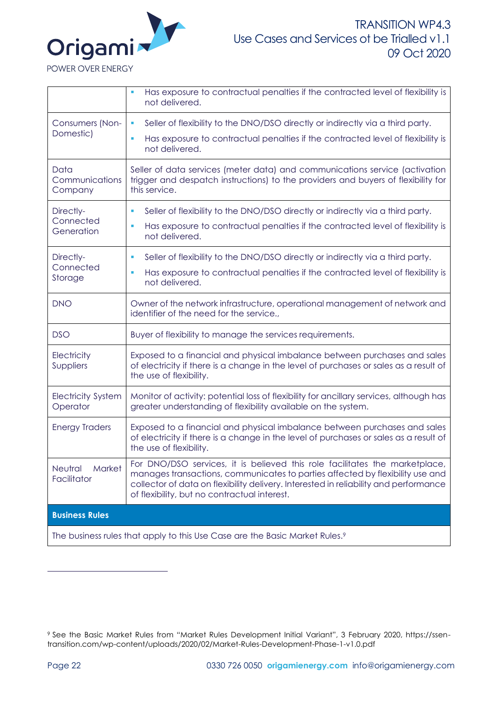

|                                       | Has exposure to contractual penalties if the contracted level of flexibility is<br>not delivered.                                                                                                                                                                                                    |  |
|---------------------------------------|------------------------------------------------------------------------------------------------------------------------------------------------------------------------------------------------------------------------------------------------------------------------------------------------------|--|
| Consumers (Non-<br>Domestic)          | Seller of flexibility to the DNO/DSO directly or indirectly via a third party.<br>ш                                                                                                                                                                                                                  |  |
|                                       | Has exposure to contractual penalties if the contracted level of flexibility is<br>not delivered.                                                                                                                                                                                                    |  |
| Data<br>Communications<br>Company     | Seller of data services (meter data) and communications service (activation<br>trigger and despatch instructions) to the providers and buyers of flexibility for<br>this service.                                                                                                                    |  |
| Directly-                             | Seller of flexibility to the DNO/DSO directly or indirectly via a third party.                                                                                                                                                                                                                       |  |
| Connected<br>Generation               | Has exposure to contractual penalties if the contracted level of flexibility is<br>not delivered.                                                                                                                                                                                                    |  |
| Directly-                             | Seller of flexibility to the DNO/DSO directly or indirectly via a third party.<br>×                                                                                                                                                                                                                  |  |
| Connected<br>Storage                  | Has exposure to contractual penalties if the contracted level of flexibility is<br>ш<br>not delivered.                                                                                                                                                                                               |  |
| <b>DNO</b>                            | Owner of the network infrastructure, operational management of network and<br>identifier of the need for the service.,                                                                                                                                                                               |  |
| <b>DSO</b>                            | Buyer of flexibility to manage the services requirements.                                                                                                                                                                                                                                            |  |
| Electricity<br>Suppliers              | Exposed to a financial and physical imbalance between purchases and sales<br>of electricity if there is a change in the level of purchases or sales as a result of<br>the use of flexibility.                                                                                                        |  |
| <b>Electricity System</b><br>Operator | Monitor of activity: potential loss of flexibility for ancillary services, although has<br>greater understanding of flexibility available on the system.                                                                                                                                             |  |
| <b>Energy Traders</b>                 | Exposed to a financial and physical imbalance between purchases and sales<br>of electricity if there is a change in the level of purchases or sales as a result of<br>the use of flexibility.                                                                                                        |  |
| Market<br>Neutral<br>Facilitator      | For DNO/DSO services, it is believed this role facilitates the marketplace,<br>manages transactions, communicates to parties affected by flexibility use and<br>collector of data on flexibility delivery. Interested in reliability and performance<br>of flexibility, but no contractual interest. |  |
| <b>Business Rules</b>                 |                                                                                                                                                                                                                                                                                                      |  |
|                                       | The business rules that apply to this Use Case are the Basic Market Rules. <sup>9</sup>                                                                                                                                                                                                              |  |

<sup>9</sup> See the Basic Market Rules from "Market Rules Development Initial Variant", 3 February 2020, https://ssentransition.com/wp-content/uploads/2020/02/Market-Rules-Development-Phase-1-v1.0.pdf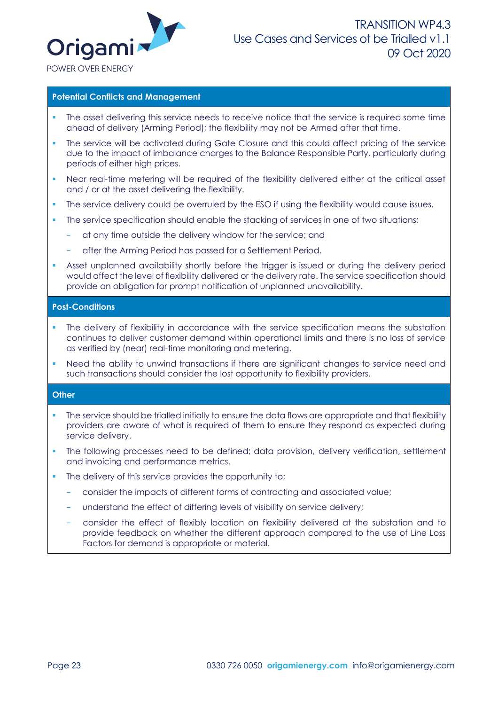

#### **Potential Conflicts and Management**

- The asset delivering this service needs to receive notice that the service is required some time ahead of delivery (Arming Period); the flexibility may not be Armed after that time.
- The service will be activated during Gate Closure and this could affect pricing of the service due to the impact of imbalance charges to the Balance Responsible Party, particularly during periods of either high prices.
- Near real-time metering will be required of the flexibility delivered either at the critical asset and / or at the asset delivering the flexibility.
- The service delivery could be overruled by the ESO if using the flexibility would cause issues.
- The service specification should enable the stacking of services in one of two situations;
	- at any time outside the delivery window for the service; and
	- after the Arming Period has passed for a Settlement Period.
- Asset unplanned availability shortly before the trigger is issued or during the delivery period would affect the level of flexibility delivered or the delivery rate. The service specification should provide an obligation for prompt notification of unplanned unavailability.

### **Post-Conditions**

- The delivery of flexibility in accordance with the service specification means the substation continues to deliver customer demand within operational limits and there is no loss of service as verified by (near) real-time monitoring and metering.
- Need the ability to unwind transactions if there are significant changes to service need and such transactions should consider the lost opportunity to flexibility providers.

### **Other**

- The service should be trialled initially to ensure the data flows are appropriate and that flexibility providers are aware of what is required of them to ensure they respond as expected during service delivery.
- The following processes need to be defined; data provision, delivery verification, settlement and invoicing and performance metrics.
- The delivery of this service provides the opportunity to;
	- − consider the impacts of different forms of contracting and associated value;
	- understand the effect of differing levels of visibility on service delivery;
	- consider the effect of flexibly location on flexibility delivered at the substation and to provide feedback on whether the different approach compared to the use of Line Loss Factors for demand is appropriate or material.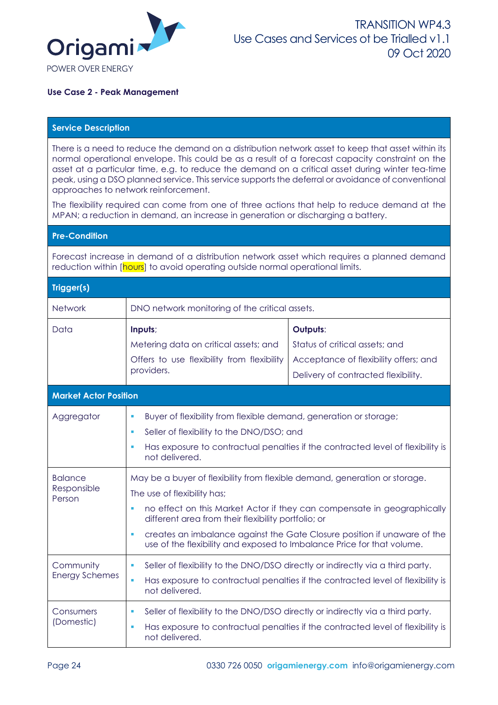

### **Use Case 2 - Peak Management**

#### **Service Description**

There is a need to reduce the demand on a distribution network asset to keep that asset within its normal operational envelope. This could be as a result of a forecast capacity constraint on the asset at a particular time, e.g. to reduce the demand on a critical asset during winter tea-time peak, using a DSO planned service. This service supports the deferral or avoidance of conventional approaches to network reinforcement.

The flexibility required can come from one of three actions that help to reduce demand at the MPAN; a reduction in demand, an increase in generation or discharging a battery.

### **Pre-Condition**

Forecast increase in demand of a distribution network asset which requires a planned demand reduction within [hours] to avoid operating outside normal operational limits.

| Trigger(s)                   |                                                                                                                                                |                                                                                 |
|------------------------------|------------------------------------------------------------------------------------------------------------------------------------------------|---------------------------------------------------------------------------------|
| <b>Network</b>               | DNO network monitoring of the critical assets.                                                                                                 |                                                                                 |
| Data                         | Inputs;                                                                                                                                        | Outputs:                                                                        |
|                              | Metering data on critical assets; and                                                                                                          | Status of critical assets; and                                                  |
|                              | Offers to use flexibility from flexibility                                                                                                     | Acceptance of flexibility offers; and                                           |
|                              | providers.                                                                                                                                     | Delivery of contracted flexibility.                                             |
| <b>Market Actor Position</b> |                                                                                                                                                |                                                                                 |
| Aggregator                   | Buyer of flexibility from flexible demand, generation or storage;                                                                              |                                                                                 |
|                              | Seller of flexibility to the DNO/DSO; and                                                                                                      |                                                                                 |
|                              | ٠<br>not delivered.                                                                                                                            | Has exposure to contractual penalties if the contracted level of flexibility is |
| <b>Balance</b>               | May be a buyer of flexibility from flexible demand, generation or storage.                                                                     |                                                                                 |
| Responsible<br>Person        | The use of flexibility has;                                                                                                                    |                                                                                 |
|                              | no effect on this Market Actor if they can compensate in geographically<br>$\mathbf{r}$<br>different area from their flexibility portfolio; or |                                                                                 |
|                              | $\blacksquare$<br>use of the flexibility and exposed to Imbalance Price for that volume.                                                       | creates an imbalance against the Gate Closure position if unaware of the        |
| Community                    | Seller of flexibility to the DNO/DSO directly or indirectly via a third party.<br>п                                                            |                                                                                 |
| <b>Energy Schemes</b>        | Has exposure to contractual penalties if the contracted level of flexibility is<br>ш<br>not delivered.                                         |                                                                                 |
| Consumers                    | Seller of flexibility to the DNO/DSO directly or indirectly via a third party.<br>٠                                                            |                                                                                 |
| (Domestic)                   | Has exposure to contractual penalties if the contracted level of flexibility is<br>٠<br>not delivered.                                         |                                                                                 |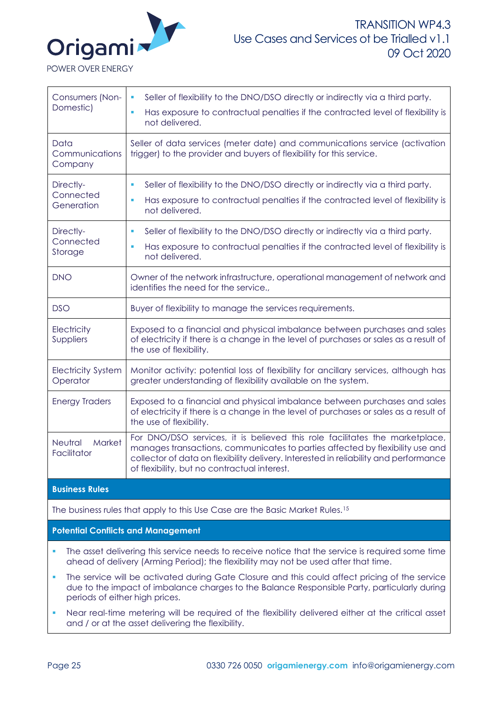

Consumers (Non-Domestic) Seller of flexibility to the DNO/DSO directly or indirectly via a third party. ▪ Has exposure to contractual penalties if the contracted level of flexibility is not delivered. Data Communications Company Seller of data services (meter date) and communications service (activation trigger) to the provider and buyers of flexibility for this service. Directly-**Connected Generation** Seller of flexibility to the DNO/DSO directly or indirectly via a third party. ▪ Has exposure to contractual penalties if the contracted level of flexibility is not delivered. Directly-**Connected** Storage Seller of flexibility to the DNO/DSO directly or indirectly via a third party. ▪ Has exposure to contractual penalties if the contracted level of flexibility is not delivered. DNO **Owner of the network infrastructure**, operational management of network and identifies the need for the service., DSO Buyer of flexibility to manage the services requirements. **Electricity** Suppliers Exposed to a financial and physical imbalance between purchases and sales of electricity if there is a change in the level of purchases or sales as a result of the use of flexibility. Electricity System **Operator** Monitor activity: potential loss of flexibility for ancillary services, although has greater understanding of flexibility available on the system. Energy Traders Exposed to a financial and physical imbalance between purchases and sales of electricity if there is a change in the level of purchases or sales as a result of the use of flexibility. Neutral Market **Facilitator** For DNO/DSO services, it is believed this role facilitates the marketplace, manages transactions, communicates to parties affected by flexibility use and collector of data on flexibility delivery. Interested in reliability and performance of flexibility, but no contractual interest. **Business Rules**

The business rules that apply to this Use Case are the Basic Market Rules.<sup>15</sup>

**Potential Conflicts and Management**

- The asset delivering this service needs to receive notice that the service is required some time ahead of delivery (Arming Period); the flexibility may not be used after that time.
- The service will be activated during Gate Closure and this could affect pricing of the service due to the impact of imbalance charges to the Balance Responsible Party, particularly during periods of either high prices.
- Near real-time metering will be required of the flexibility delivered either at the critical asset and / or at the asset delivering the flexibility.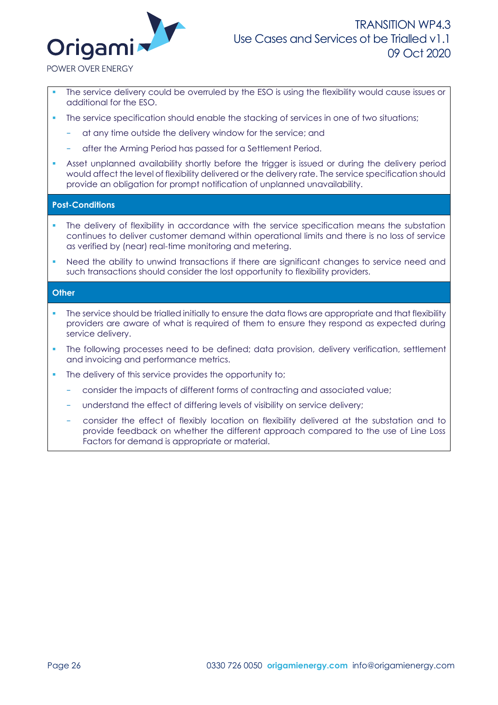

POWER OVER ENERGY

- The service delivery could be overruled by the ESO is using the flexibility would cause issues or additional for the ESO.
- The service specification should enable the stacking of services in one of two situations;
	- at any time outside the delivery window for the service; and
	- − after the Arming Period has passed for a Settlement Period.
- Asset unplanned availability shortly before the trigger is issued or during the delivery period would affect the level of flexibility delivered or the delivery rate. The service specification should provide an obligation for prompt notification of unplanned unavailability.

#### **Post-Conditions**

- The delivery of flexibility in accordance with the service specification means the substation continues to deliver customer demand within operational limits and there is no loss of service as verified by (near) real-time monitoring and metering.
- Need the ability to unwind transactions if there are significant changes to service need and such transactions should consider the lost opportunity to flexibility providers.

### **Other**

- The service should be trialled initially to ensure the data flows are appropriate and that flexibility providers are aware of what is required of them to ensure they respond as expected during service delivery.
- The following processes need to be defined; data provision, delivery verification, settlement and invoicing and performance metrics.
- The delivery of this service provides the opportunity to;
	- − consider the impacts of different forms of contracting and associated value;
	- understand the effect of differing levels of visibility on service delivery;
	- − consider the effect of flexibly location on flexibility delivered at the substation and to provide feedback on whether the different approach compared to the use of Line Loss Factors for demand is appropriate or material.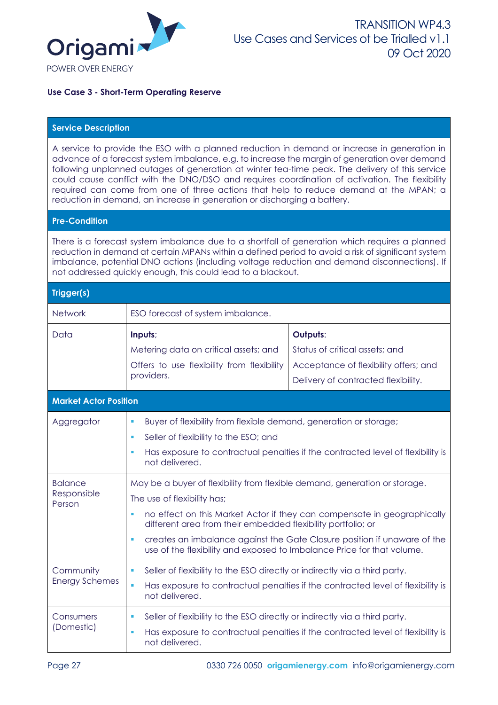

**Use Case 3 - Short-Term Operating Reserve**

### **Service Description**

A service to provide the ESO with a planned reduction in demand or increase in generation in advance of a forecast system imbalance, e.g. to increase the margin of generation over demand following unplanned outages of generation at winter tea-time peak. The delivery of this service could cause conflict with the DNO/DSO and requires coordination of activation. The flexibility required can come from one of three actions that help to reduce demand at the MPAN; a reduction in demand, an increase in generation or discharging a battery.

#### **Pre-Condition**

There is a forecast system imbalance due to a shortfall of generation which requires a planned reduction in demand at certain MPANs within a defined period to avoid a risk of significant system imbalance, potential DNO actions (including voltage reduction and demand disconnections). If not addressed quickly enough, this could lead to a blackout.

| Trigger(s)                              |                                                                                                                                                                                                                                                                                                                                                                                                                       |                                                                                                                            |
|-----------------------------------------|-----------------------------------------------------------------------------------------------------------------------------------------------------------------------------------------------------------------------------------------------------------------------------------------------------------------------------------------------------------------------------------------------------------------------|----------------------------------------------------------------------------------------------------------------------------|
| Network                                 | ESO forecast of system imbalance.                                                                                                                                                                                                                                                                                                                                                                                     |                                                                                                                            |
| Data                                    | Inputs;<br>Metering data on critical assets; and<br>Offers to use flexibility from flexibility<br>providers.                                                                                                                                                                                                                                                                                                          | Outputs:<br>Status of critical assets; and<br>Acceptance of flexibility offers; and<br>Delivery of contracted flexibility. |
| <b>Market Actor Position</b>            |                                                                                                                                                                                                                                                                                                                                                                                                                       |                                                                                                                            |
| Aggregator                              | Buyer of flexibility from flexible demand, generation or storage;<br>a,<br>Seller of flexibility to the ESO; and<br>٠<br>not delivered.                                                                                                                                                                                                                                                                               | Has exposure to contractual penalties if the contracted level of flexibility is                                            |
| <b>Balance</b><br>Responsible<br>Person | May be a buyer of flexibility from flexible demand, generation or storage.<br>The use of flexibility has;<br>no effect on this Market Actor if they can compensate in geographically<br>Ù,<br>different area from their embedded flexibility portfolio; or<br>creates an imbalance against the Gate Closure position if unaware of the<br>٠<br>use of the flexibility and exposed to Imbalance Price for that volume. |                                                                                                                            |
| Community<br><b>Energy Schemes</b>      | Seller of flexibility to the ESO directly or indirectly via a third party.<br>ш<br>a,<br>not delivered.                                                                                                                                                                                                                                                                                                               | Has exposure to contractual penalties if the contracted level of flexibility is                                            |
| Consumers<br>(Domestic)                 | Seller of flexibility to the ESO directly or indirectly via a third party.<br>a,<br>not delivered.                                                                                                                                                                                                                                                                                                                    | Has exposure to contractual penalties if the contracted level of flexibility is                                            |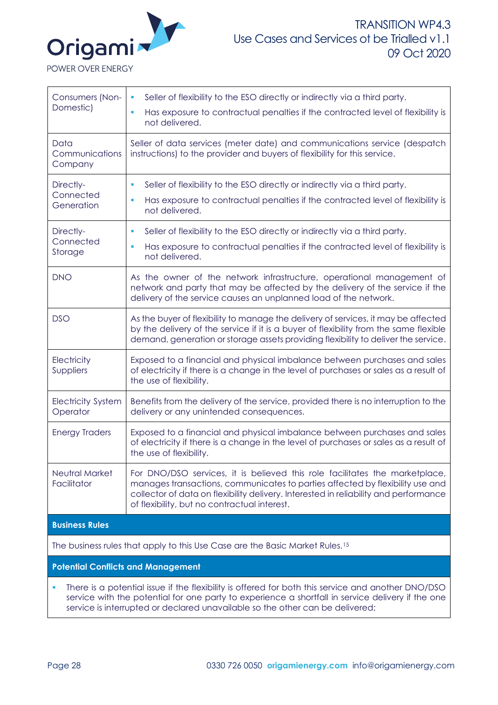

Consumers (Non-Domestic) Seller of flexibility to the ESO directly or indirectly via a third party. ▪ Has exposure to contractual penalties if the contracted level of flexibility is not delivered. Data Communications Company Seller of data services (meter date) and communications service (despatch instructions) to the provider and buyers of flexibility for this service. Directly-**Connected** Generation Seller of flexibility to the ESO directly or indirectly via a third party. ▪ Has exposure to contractual penalties if the contracted level of flexibility is not delivered. Directly-**Connected** Storage Seller of flexibility to the ESO directly or indirectly via a third party. ▪ Has exposure to contractual penalties if the contracted level of flexibility is not delivered. DNO As the owner of the network infrastructure, operational management of network and party that may be affected by the delivery of the service if the delivery of the service causes an unplanned load of the network. DSO As the buyer of flexibility to manage the delivery of services, it may be affected by the delivery of the service if it is a buyer of flexibility from the same flexible demand, generation or storage assets providing flexibility to deliver the service. **Electricity** Suppliers Exposed to a financial and physical imbalance between purchases and sales of electricity if there is a change in the level of purchases or sales as a result of the use of flexibility. Electricity System **Operator** Benefits from the delivery of the service, provided there is no interruption to the delivery or any unintended consequences. Energy Traders Exposed to a financial and physical imbalance between purchases and sales of electricity if there is a change in the level of purchases or sales as a result of the use of flexibility. Neutral Market Facilitator For DNO/DSO services, it is believed this role facilitates the marketplace, manages transactions, communicates to parties affected by flexibility use and collector of data on flexibility delivery. Interested in reliability and performance of flexibility, but no contractual interest. **Business Rules** The business rules that apply to this Use Case are the Basic Market Rules.<sup>15</sup> **Potential Conflicts and Management** ▪ There is a potential issue if the flexibility is offered for both this service and another DNO/DSO

service with the potential for one party to experience a shortfall in service delivery if the one service is interrupted or declared unavailable so the other can be delivered;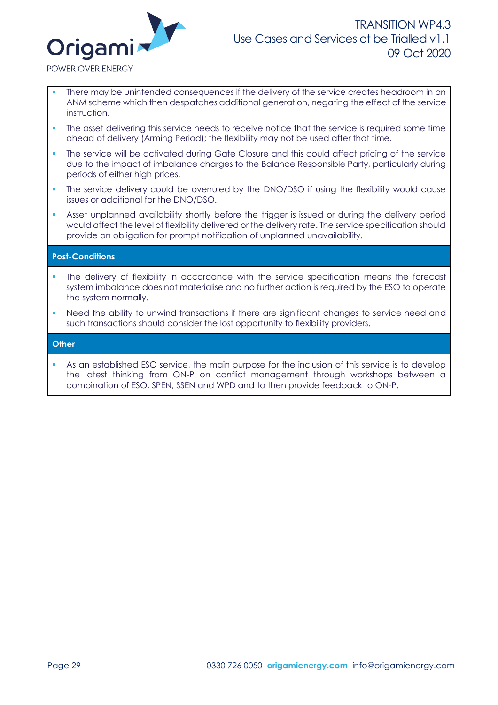

POWER OVER ENERGY

- There may be unintended consequences if the delivery of the service creates headroom in an ANM scheme which then despatches additional generation, negating the effect of the service instruction.
- The asset delivering this service needs to receive notice that the service is required some time ahead of delivery (Arming Period); the flexibility may not be used after that time.
- The service will be activated during Gate Closure and this could affect pricing of the service due to the impact of imbalance charges to the Balance Responsible Party, particularly during periods of either high prices.
- The service delivery could be overruled by the DNO/DSO if using the flexibility would cause issues or additional for the DNO/DSO.
- Asset unplanned availability shortly before the trigger is issued or during the delivery period would affect the level of flexibility delivered or the delivery rate. The service specification should provide an obligation for prompt notification of unplanned unavailability.

### **Post-Conditions**

- The delivery of flexibility in accordance with the service specification means the forecast system imbalance does not materialise and no further action is required by the ESO to operate the system normally.
- Need the ability to unwind transactions if there are significant changes to service need and such transactions should consider the lost opportunity to flexibility providers.

#### **Other**

As an established ESO service, the main purpose for the inclusion of this service is to develop the latest thinking from ON-P on conflict management through workshops between a combination of ESO, SPEN, SSEN and WPD and to then provide feedback to ON-P.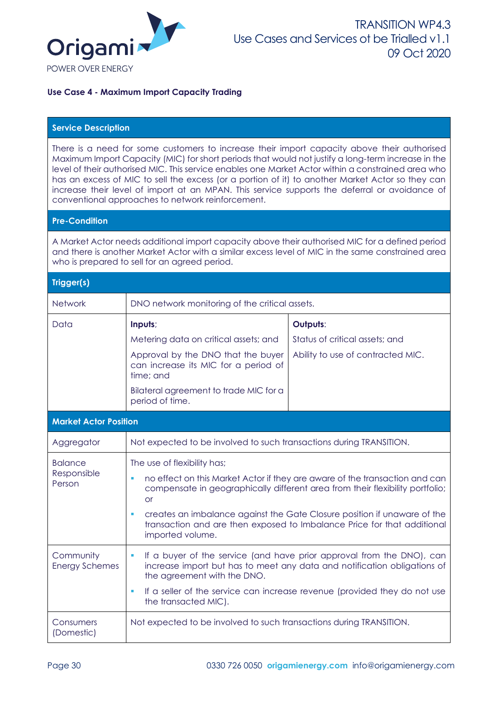

### **Use Case 4 - Maximum Import Capacity Trading**

### **Service Description**

There is a need for some customers to increase their import capacity above their authorised Maximum Import Capacity (MIC) for short periods that would not justify a long-term increase in the level of their authorised MIC. This service enables one Market Actor within a constrained area who has an excess of MIC to sell the excess (or a portion of it) to another Market Actor so they can increase their level of import at an MPAN. This service supports the deferral or avoidance of conventional approaches to network reinforcement.

#### **Pre-Condition**

A Market Actor needs additional import capacity above their authorised MIC for a defined period and there is another Market Actor with a similar excess level of MIC in the same constrained area who is prepared to sell for an agreed period.

#### **Trigger(s)**

| Network                                 | DNO network monitoring of the critical assets.                                                                                                                                                                                                                                                                                                                                           |                                                                                 |
|-----------------------------------------|------------------------------------------------------------------------------------------------------------------------------------------------------------------------------------------------------------------------------------------------------------------------------------------------------------------------------------------------------------------------------------------|---------------------------------------------------------------------------------|
| Data                                    | Inputs;<br>Metering data on critical assets; and<br>Approval by the DNO that the buyer<br>can increase its MIC for a period of<br>time; and<br>Bilateral agreement to trade MIC for a<br>period of time.                                                                                                                                                                                 | Outputs:<br>Status of critical assets; and<br>Ability to use of contracted MIC. |
| <b>Market Actor Position</b>            |                                                                                                                                                                                                                                                                                                                                                                                          |                                                                                 |
| Aggregator                              | Not expected to be involved to such transactions during TRANSITION.                                                                                                                                                                                                                                                                                                                      |                                                                                 |
| <b>Balance</b><br>Responsible<br>Person | The use of flexibility has;<br>no effect on this Market Actor if they are aware of the transaction and can<br>compensate in geographically different area from their flexibility portfolio;<br><b>or</b><br>creates an imbalance against the Gate Closure position if unaware of the<br>п<br>transaction and are then exposed to Imbalance Price for that additional<br>imported volume. |                                                                                 |
| Community<br><b>Energy Schemes</b>      | If a buyer of the service (and have prior approval from the DNO), can<br>٠<br>increase import but has to meet any data and notification obligations of<br>the agreement with the DNO.<br>If a seller of the service can increase revenue (provided they do not use<br>٠<br>the transacted MIC).                                                                                          |                                                                                 |
| Consumers<br>(Domestic)                 | Not expected to be involved to such transactions during TRANSITION.                                                                                                                                                                                                                                                                                                                      |                                                                                 |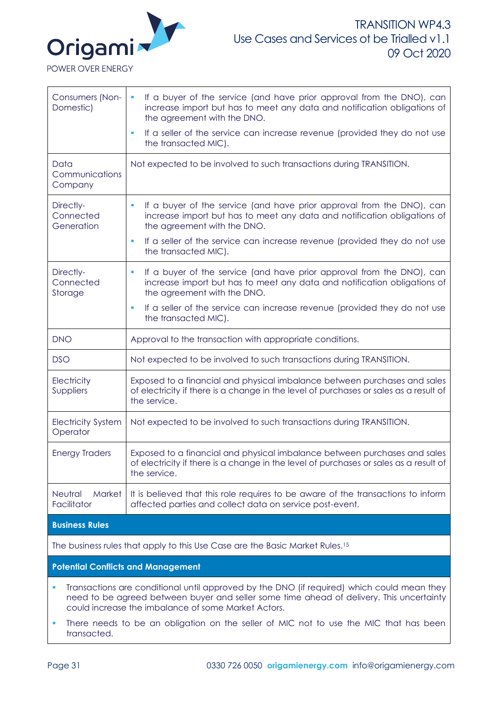

| Consumers (Non-<br>Domestic)                                                               | If a buyer of the service (and have prior approval from the DNO), can<br>ш<br>increase import but has to meet any data and notification obligations of<br>the agreement with the DNO. |  |
|--------------------------------------------------------------------------------------------|---------------------------------------------------------------------------------------------------------------------------------------------------------------------------------------|--|
|                                                                                            | If a seller of the service can increase revenue (provided they do not use<br>the transacted MIC).                                                                                     |  |
| Data<br>Communications<br>Company                                                          | Not expected to be involved to such transactions during TRANSITION.                                                                                                                   |  |
| Directly-<br>Connected<br>Generation                                                       | If a buyer of the service (and have prior approval from the DNO), can<br>×<br>increase import but has to meet any data and notification obligations of<br>the agreement with the DNO. |  |
|                                                                                            | If a seller of the service can increase revenue (provided they do not use<br>the transacted MIC).                                                                                     |  |
| Directly-<br>Connected<br>Storage                                                          | If a buyer of the service (and have prior approval from the DNO), can<br>increase import but has to meet any data and notification obligations of<br>the agreement with the DNO.      |  |
|                                                                                            | If a seller of the service can increase revenue (provided they do not use<br>the transacted MIC).                                                                                     |  |
| <b>DNO</b>                                                                                 | Approval to the transaction with appropriate conditions.                                                                                                                              |  |
| <b>DSO</b>                                                                                 | Not expected to be involved to such transactions during TRANSITION.                                                                                                                   |  |
| Electricity<br>Suppliers                                                                   | Exposed to a financial and physical imbalance between purchases and sales<br>of electricity if there is a change in the level of purchases or sales as a result of<br>the service.    |  |
| <b>Electricity System</b><br>Operator                                                      | Not expected to be involved to such transactions during TRANSITION.                                                                                                                   |  |
| <b>Energy Traders</b>                                                                      | Exposed to a financial and physical imbalance between purchases and sales<br>of electricity if there is a change in the level of purchases or sales as a result of<br>the service.    |  |
| Neutral<br><b>Market</b><br>Facilitator                                                    | It is believed that this role requires to be aware of the transactions to inform<br>affected parties and collect data on service post-event.                                          |  |
| <b>Business Rules</b>                                                                      |                                                                                                                                                                                       |  |
| The business rules that apply to this Use Case are the Basic Market Rules. <sup>15</sup>   |                                                                                                                                                                                       |  |
| <b>Potential Conflicts and Management</b>                                                  |                                                                                                                                                                                       |  |
| Transactions are conditional until approved by the DNO (if required) which could mean they |                                                                                                                                                                                       |  |

- need to be agreed between buyer and seller some time ahead of delivery. This uncertainty could increase the imbalance of some Market Actors.
- **.** There needs to be an obligation on the seller of MIC not to use the MIC that has been transacted.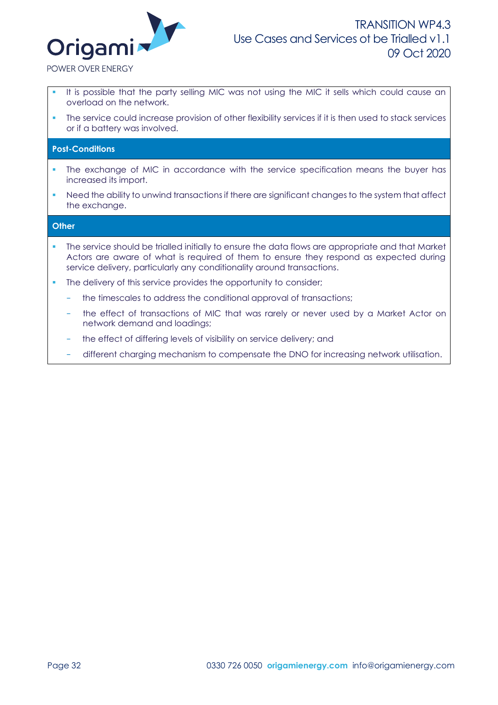

POWER OVER ENERGY

- It is possible that the party selling MIC was not using the MIC it sells which could cause an overload on the network.
- The service could increase provision of other flexibility services if it is then used to stack services or if a battery was involved.

#### **Post-Conditions**

- The exchange of MIC in accordance with the service specification means the buyer has increased its import.
- Need the ability to unwind transactions if there are significant changes to the system that affect the exchange.

#### **Other**

- The service should be trialled initially to ensure the data flows are appropriate and that Market Actors are aware of what is required of them to ensure they respond as expected during service delivery, particularly any conditionality around transactions.
- The delivery of this service provides the opportunity to consider;
	- the timescales to address the conditional approval of transactions;
	- the effect of transactions of MIC that was rarely or never used by a Market Actor on network demand and loadings;
	- the effect of differing levels of visibility on service delivery; and
	- − different charging mechanism to compensate the DNO for increasing network utilisation.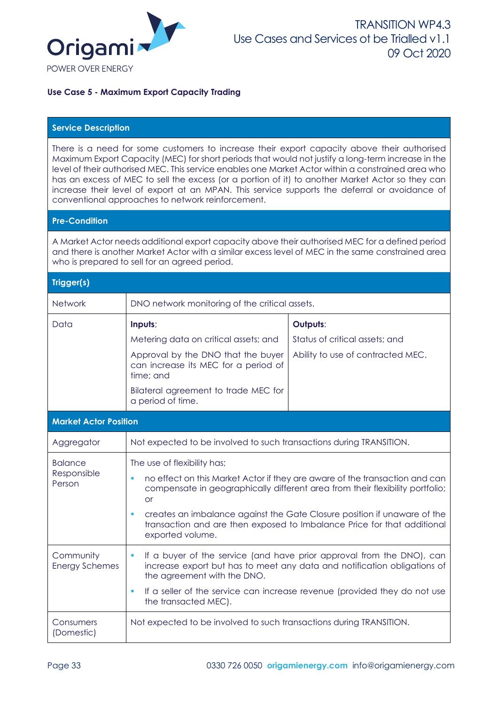

### **Use Case 5 - Maximum Export Capacity Trading**

### **Service Description**

There is a need for some customers to increase their export capacity above their authorised Maximum Export Capacity (MEC) for short periods that would not justify a long-term increase in the level of their authorised MEC. This service enables one Market Actor within a constrained area who has an excess of MEC to sell the excess (or a portion of it) to another Market Actor so they can increase their level of export at an MPAN. This service supports the deferral or avoidance of conventional approaches to network reinforcement.

#### **Pre-Condition**

A Market Actor needs additional export capacity above their authorised MEC for a defined period and there is another Market Actor with a similar excess level of MEC in the same constrained area who is prepared to sell for an agreed period.

#### **Trigger(s)**

| <b>Network</b>                          | DNO network monitoring of the critical assets.                                                                                                                                                                                                                                                                                                                                      |                                                                                 |
|-----------------------------------------|-------------------------------------------------------------------------------------------------------------------------------------------------------------------------------------------------------------------------------------------------------------------------------------------------------------------------------------------------------------------------------------|---------------------------------------------------------------------------------|
| Data                                    | Inputs;<br>Metering data on critical assets; and<br>Approval by the DNO that the buyer<br>can increase its MEC for a period of<br>time; and<br>Bilateral agreement to trade MEC for<br>a period of time.                                                                                                                                                                            | Outputs:<br>Status of critical assets; and<br>Ability to use of contracted MEC. |
| <b>Market Actor Position</b>            |                                                                                                                                                                                                                                                                                                                                                                                     |                                                                                 |
| Aggregator                              | Not expected to be involved to such transactions during TRANSITION.                                                                                                                                                                                                                                                                                                                 |                                                                                 |
| <b>Balance</b><br>Responsible<br>Person | The use of flexibility has;<br>no effect on this Market Actor if they are aware of the transaction and can<br>compensate in geographically different area from their flexibility portfolio;<br><b>or</b><br>creates an imbalance against the Gate Closure position if unaware of the<br>transaction and are then exposed to Imbalance Price for that additional<br>exported volume. |                                                                                 |
| Community<br><b>Energy Schemes</b>      | If a buyer of the service (and have prior approval from the DNO), can<br>ш<br>increase export but has to meet any data and notification obligations of<br>the agreement with the DNO.<br>If a seller of the service can increase revenue (provided they do not use<br>ш<br>the transacted MEC).                                                                                     |                                                                                 |
| Consumers<br>(Domestic)                 | Not expected to be involved to such transactions during TRANSITION.                                                                                                                                                                                                                                                                                                                 |                                                                                 |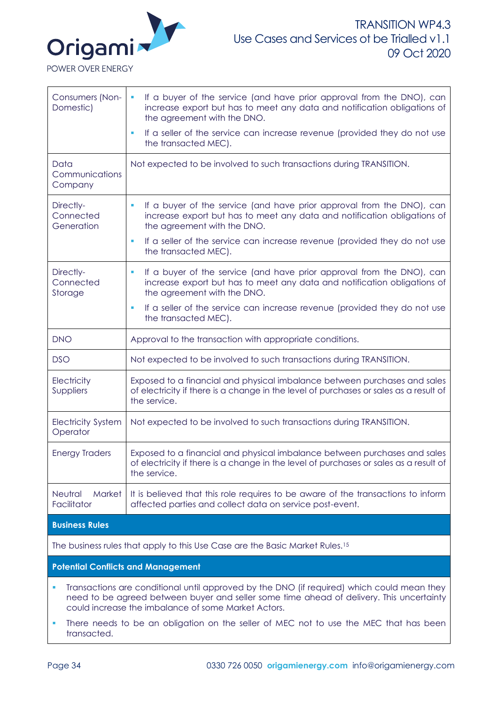

| Consumers (Non-<br>Domestic)              | If a buyer of the service (and have prior approval from the DNO), can<br>$\blacksquare$<br>increase export but has to meet any data and notification obligations of<br>the agreement with the DNO. |  |
|-------------------------------------------|----------------------------------------------------------------------------------------------------------------------------------------------------------------------------------------------------|--|
|                                           | If a seller of the service can increase revenue (provided they do not use<br>the transacted MEC).                                                                                                  |  |
| Data<br>Communications<br>Company         | Not expected to be involved to such transactions during TRANSITION.                                                                                                                                |  |
| Directly-<br>Connected<br>Generation      | If a buyer of the service (and have prior approval from the DNO), can<br>×<br>increase export but has to meet any data and notification obligations of<br>the agreement with the DNO.              |  |
|                                           | If a seller of the service can increase revenue (provided they do not use<br>п<br>the transacted MEC).                                                                                             |  |
| Directly-<br>Connected<br>Storage         | If a buyer of the service (and have prior approval from the DNO), can<br>ш<br>increase export but has to meet any data and notification obligations of<br>the agreement with the DNO.              |  |
|                                           | If a seller of the service can increase revenue (provided they do not use<br>the transacted MEC).                                                                                                  |  |
| <b>DNO</b>                                | Approval to the transaction with appropriate conditions.                                                                                                                                           |  |
| <b>DSO</b>                                | Not expected to be involved to such transactions during TRANSITION.                                                                                                                                |  |
| Electricity<br>Suppliers                  | Exposed to a financial and physical imbalance between purchases and sales<br>of electricity if there is a change in the level of purchases or sales as a result of<br>the service.                 |  |
| <b>Electricity System</b><br>Operator     | Not expected to be involved to such transactions during TRANSITION.                                                                                                                                |  |
| <b>Energy Traders</b>                     | Exposed to a financial and physical imbalance between purchases and sales<br>of electricity if there is a change in the level of purchases or sales as a result of<br>the service.                 |  |
| Neutral<br><b>Market</b><br>Facilitator   | It is believed that this role requires to be aware of the transactions to inform<br>affected parties and collect data on service post-event.                                                       |  |
| <b>Business Rules</b>                     |                                                                                                                                                                                                    |  |
|                                           | The business rules that apply to this Use Case are the Basic Market Rules. <sup>15</sup>                                                                                                           |  |
| <b>Potential Conflicts and Management</b> |                                                                                                                                                                                                    |  |
|                                           | Transactions are conditional until approved by the DNO (if required) which could mean they                                                                                                         |  |

- need to be agreed between buyer and seller some time ahead of delivery. This uncertainty could increase the imbalance of some Market Actors.
- **.** There needs to be an obligation on the seller of MEC not to use the MEC that has been transacted.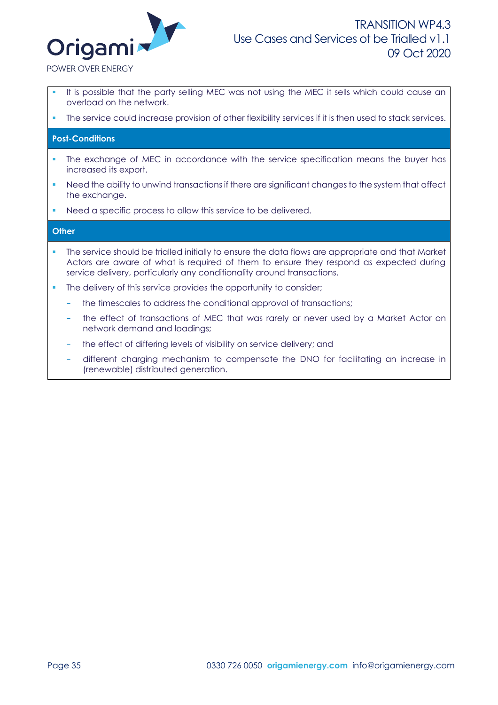

POWER OVER ENERGY

- It is possible that the party selling MEC was not using the MEC it sells which could cause an overload on the network.
- The service could increase provision of other flexibility services if it is then used to stack services.

### **Post-Conditions**

- The exchange of MEC in accordance with the service specification means the buyer has increased its export.
- Need the ability to unwind transactions if there are significant changes to the system that affect the exchange.
- Need a specific process to allow this service to be delivered.

### **Other**

- The service should be trialled initially to ensure the data flows are appropriate and that Market Actors are aware of what is required of them to ensure they respond as expected during service delivery, particularly any conditionality around transactions.
- The delivery of this service provides the opportunity to consider;
	- the timescales to address the conditional approval of transactions;
	- the effect of transactions of MEC that was rarely or never used by a Market Actor on network demand and loadings;
	- the effect of differing levels of visibility on service delivery; and
	- − different charging mechanism to compensate the DNO for facilitating an increase in (renewable) distributed generation.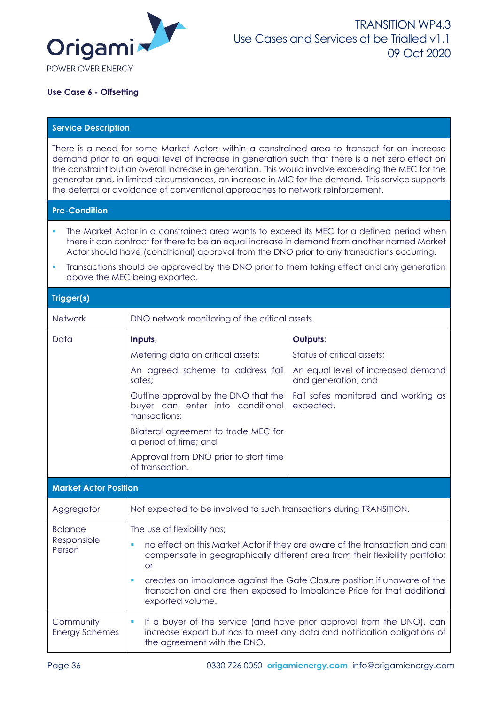

### **Use Case 6 - Offsetting**

### **Service Description**

There is a need for some Market Actors within a constrained area to transact for an increase demand prior to an equal level of increase in generation such that there is a net zero effect on the constraint but an overall increase in generation. This would involve exceeding the MEC for the generator and, in limited circumstances, an increase in MIC for the demand. This service supports the deferral or avoidance of conventional approaches to network reinforcement.

### **Pre-Condition**

- The Market Actor in a constrained area wants to exceed its MEC for a defined period when there it can contract for there to be an equal increase in demand from another named Market Actor should have (conditional) approval from the DNO prior to any transactions occurring.
- Transactions should be approved by the DNO prior to them taking effect and any generation above the MEC being exported.

### **Trigger(s)**

| <b>Network</b>                     | DNO network monitoring of the critical assets.                                                                                                                            |                                                                                                                                                   |  |
|------------------------------------|---------------------------------------------------------------------------------------------------------------------------------------------------------------------------|---------------------------------------------------------------------------------------------------------------------------------------------------|--|
| Data                               | Inputs;                                                                                                                                                                   | Outputs:                                                                                                                                          |  |
|                                    | Metering data on critical assets;                                                                                                                                         | Status of critical assets;                                                                                                                        |  |
|                                    | An agreed scheme to address fail<br>safes:                                                                                                                                | An equal level of increased demand<br>and generation; and                                                                                         |  |
|                                    | Outline approval by the DNO that the<br>buyer can enter into conditional<br>transactions;                                                                                 | Fail safes monitored and working as<br>expected.                                                                                                  |  |
|                                    | Bilateral agreement to trade MEC for<br>a period of time; and                                                                                                             |                                                                                                                                                   |  |
|                                    | Approval from DNO prior to start time<br>of transaction.                                                                                                                  |                                                                                                                                                   |  |
| <b>Market Actor Position</b>       |                                                                                                                                                                           |                                                                                                                                                   |  |
| Aggregator                         | Not expected to be involved to such transactions during TRANSITION.                                                                                                       |                                                                                                                                                   |  |
| <b>Balance</b>                     | The use of flexibility has;                                                                                                                                               |                                                                                                                                                   |  |
| Responsible<br>Person              | no effect on this Market Actor if they are aware of the transaction and can<br>compensate in geographically different area from their flexibility portfolio;<br><b>or</b> |                                                                                                                                                   |  |
|                                    | creates an imbalance against the Gate Closure position if unaware of the<br>transaction and are then exposed to Imbalance Price for that additional<br>exported volume.   |                                                                                                                                                   |  |
| Community<br><b>Energy Schemes</b> | $\blacksquare$<br>the agreement with the DNO.                                                                                                                             | If a buyer of the service (and have prior approval from the DNO), can<br>increase export but has to meet any data and notification obligations of |  |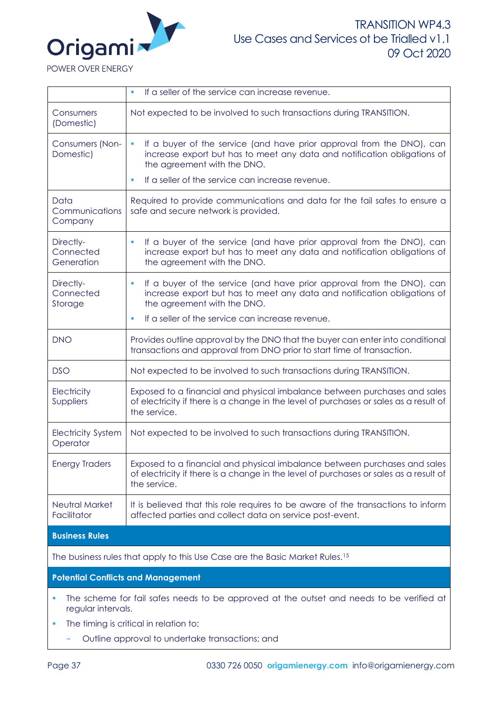

|                                           | If a seller of the service can increase revenue.<br>a,                                                                                                                                             |  |
|-------------------------------------------|----------------------------------------------------------------------------------------------------------------------------------------------------------------------------------------------------|--|
| Consumers<br>(Domestic)                   | Not expected to be involved to such transactions during TRANSITION.                                                                                                                                |  |
| Consumers (Non-<br>Domestic)              | If a buyer of the service (and have prior approval from the DNO), can<br>$\blacksquare$<br>increase export but has to meet any data and notification obligations of<br>the agreement with the DNO. |  |
|                                           | If a seller of the service can increase revenue.<br>ш                                                                                                                                              |  |
| Data<br>Communications<br>Company         | Required to provide communications and data for the fail safes to ensure a<br>safe and secure network is provided.                                                                                 |  |
| Directly-<br>Connected<br>Generation      | If a buyer of the service (and have prior approval from the DNO), can<br>increase export but has to meet any data and notification obligations of<br>the agreement with the DNO.                   |  |
| Directly-<br>Connected<br>Storage         | If a buyer of the service (and have prior approval from the DNO), can<br>ш<br>increase export but has to meet any data and notification obligations of<br>the agreement with the DNO.              |  |
|                                           | If a seller of the service can increase revenue.<br>ш                                                                                                                                              |  |
| <b>DNO</b>                                | Provides outline approval by the DNO that the buyer can enter into conditional<br>transactions and approval from DNO prior to start time of transaction.                                           |  |
| <b>DSO</b>                                | Not expected to be involved to such transactions during TRANSITION.                                                                                                                                |  |
| Electricity<br>Suppliers                  | Exposed to a financial and physical imbalance between purchases and sales<br>of electricity if there is a change in the level of purchases or sales as a result of<br>the service.                 |  |
| <b>Electricity System</b><br>Operator     | Not expected to be involved to such transactions during TRANSITION.                                                                                                                                |  |
| <b>Energy Traders</b>                     | Exposed to a financial and physical imbalance between purchases and sales<br>of electricity if there is a change in the level of purchases or sales as a result of<br>the service.                 |  |
| Neutral Market<br>Facilitator             | It is believed that this role requires to be aware of the transactions to inform<br>affected parties and collect data on service post-event.                                                       |  |
| <b>Business Rules</b>                     |                                                                                                                                                                                                    |  |
|                                           | The business rules that apply to this Use Case are the Basic Market Rules. <sup>15</sup>                                                                                                           |  |
| <b>Potential Conflicts and Management</b> |                                                                                                                                                                                                    |  |

- The scheme for fail safes needs to be approved at the outset and needs to be verified at regular intervals.
- **•** The timing is critical in relation to;
	- − Outline approval to undertake transactions; and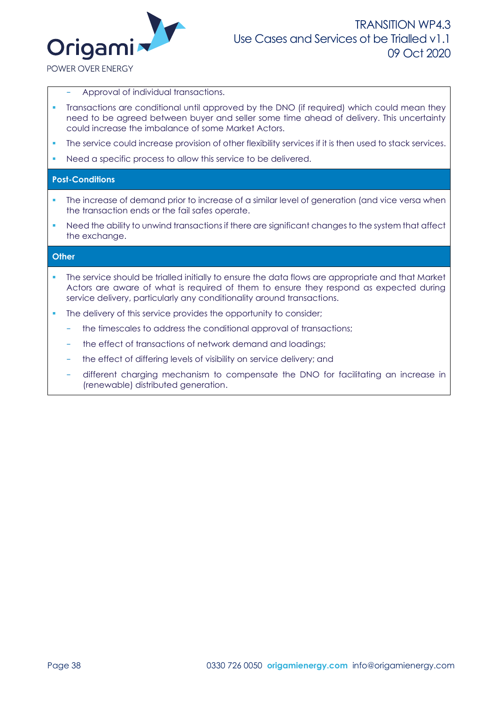

POWER OVER ENERGY

- − Approval of individual transactions.
- Transactions are conditional until approved by the DNO (if required) which could mean they need to be agreed between buyer and seller some time ahead of delivery. This uncertainty could increase the imbalance of some Market Actors.
- The service could increase provision of other flexibility services if it is then used to stack services.
- Need a specific process to allow this service to be delivered.

### **Post-Conditions**

- The increase of demand prior to increase of a similar level of generation (and vice versa when the transaction ends or the fail safes operate.
- Need the ability to unwind transactions if there are significant changes to the system that affect the exchange.

### **Other**

- The service should be trialled initially to ensure the data flows are appropriate and that Market Actors are aware of what is required of them to ensure they respond as expected during service delivery, particularly any conditionality around transactions.
- The delivery of this service provides the opportunity to consider;
	- the timescales to address the conditional approval of transactions;
	- the effect of transactions of network demand and loadings;
	- the effect of differing levels of visibility on service delivery; and
	- − different charging mechanism to compensate the DNO for facilitating an increase in (renewable) distributed generation.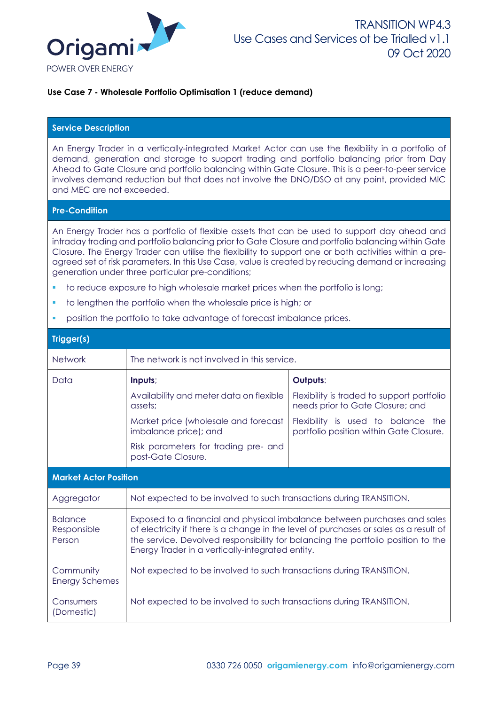

### **Use Case 7 - Wholesale Portfolio Optimisation 1 (reduce demand)**

### **Service Description**

An Energy Trader in a vertically-integrated Market Actor can use the flexibility in a portfolio of demand, generation and storage to support trading and portfolio balancing prior from Day Ahead to Gate Closure and portfolio balancing within Gate Closure. This is a peer-to-peer service involves demand reduction but that does not involve the DNO/DSO at any point, provided MIC and MEC are not exceeded.

# **Pre-Condition**

An Energy Trader has a portfolio of flexible assets that can be used to support day ahead and intraday trading and portfolio balancing prior to Gate Closure and portfolio balancing within Gate Closure. The Energy Trader can utilise the flexibility to support one or both activities within a preagreed set of risk parameters. In this Use Case, value is created by reducing demand or increasing generation under three particular pre-conditions;

- to reduce exposure to high wholesale market prices when the portfolio is long;
- to lengthen the portfolio when the wholesale price is high; or
- position the portfolio to take advantage of forecast imbalance prices.

| Trigger(s)                              |                                                                                                                                                                                                                                                                                                            |                                                                                |  |  |  |  |
|-----------------------------------------|------------------------------------------------------------------------------------------------------------------------------------------------------------------------------------------------------------------------------------------------------------------------------------------------------------|--------------------------------------------------------------------------------|--|--|--|--|
| <b>Network</b>                          | The network is not involved in this service.                                                                                                                                                                                                                                                               |                                                                                |  |  |  |  |
| Data                                    | Inputs;                                                                                                                                                                                                                                                                                                    | Outputs:                                                                       |  |  |  |  |
|                                         | Availability and meter data on flexible<br>assets;                                                                                                                                                                                                                                                         | Flexibility is traded to support portfolio<br>needs prior to Gate Closure; and |  |  |  |  |
|                                         | Market price (wholesale and forecast<br>imbalance price); and                                                                                                                                                                                                                                              | Flexibility is used to balance the<br>portfolio position within Gate Closure.  |  |  |  |  |
|                                         | Risk parameters for trading pre- and<br>post-Gate Closure.                                                                                                                                                                                                                                                 |                                                                                |  |  |  |  |
| <b>Market Actor Position</b>            |                                                                                                                                                                                                                                                                                                            |                                                                                |  |  |  |  |
| Aggregator                              | Not expected to be involved to such transactions during TRANSITION.                                                                                                                                                                                                                                        |                                                                                |  |  |  |  |
| <b>Balance</b><br>Responsible<br>Person | Exposed to a financial and physical imbalance between purchases and sales<br>of electricity if there is a change in the level of purchases or sales as a result of<br>the service. Devolved responsibility for balancing the portfolio position to the<br>Energy Trader in a vertically-integrated entity. |                                                                                |  |  |  |  |
| Community<br><b>Energy Schemes</b>      | Not expected to be involved to such transactions during TRANSITION.                                                                                                                                                                                                                                        |                                                                                |  |  |  |  |
| Consumers<br>(Domestic)                 | Not expected to be involved to such transactions during TRANSITION.                                                                                                                                                                                                                                        |                                                                                |  |  |  |  |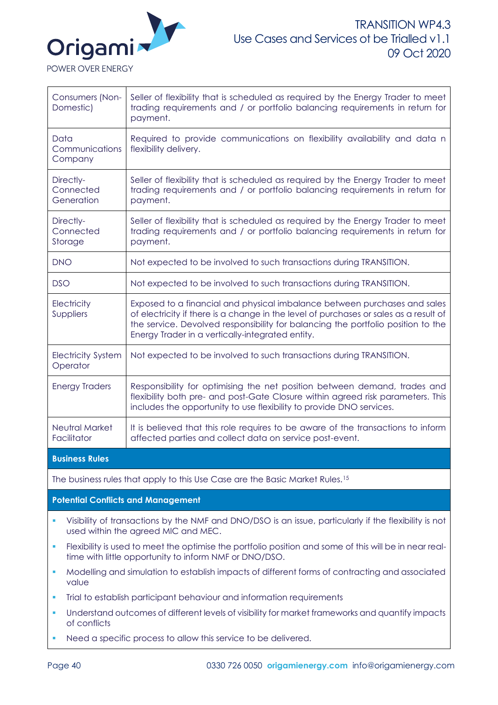

POWER OVER ENERGY

| Consumers (Non-<br>Domestic)          | Seller of flexibility that is scheduled as required by the Energy Trader to meet<br>trading requirements and / or portfolio balancing requirements in return for<br>payment.                                                                                                                               |
|---------------------------------------|------------------------------------------------------------------------------------------------------------------------------------------------------------------------------------------------------------------------------------------------------------------------------------------------------------|
| Data<br>Communications<br>Company     | Required to provide communications on flexibility availability and data n<br>flexibility delivery.                                                                                                                                                                                                         |
| Directly-<br>Connected<br>Generation  | Seller of flexibility that is scheduled as required by the Energy Trader to meet<br>trading requirements and / or portfolio balancing requirements in return for<br>payment.                                                                                                                               |
| Directly-<br>Connected<br>Storage     | Seller of flexibility that is scheduled as required by the Energy Trader to meet<br>trading requirements and / or portfolio balancing requirements in return for<br>payment.                                                                                                                               |
| <b>DNO</b>                            | Not expected to be involved to such transactions during TRANSITION.                                                                                                                                                                                                                                        |
| <b>DSO</b>                            | Not expected to be involved to such transactions during TRANSITION.                                                                                                                                                                                                                                        |
| Electricity<br>Suppliers              | Exposed to a financial and physical imbalance between purchases and sales<br>of electricity if there is a change in the level of purchases or sales as a result of<br>the service. Devolved responsibility for balancing the portfolio position to the<br>Energy Trader in a vertically-integrated entity. |
| <b>Electricity System</b><br>Operator | Not expected to be involved to such transactions during TRANSITION.                                                                                                                                                                                                                                        |
| <b>Energy Traders</b>                 | Responsibility for optimising the net position between demand, trades and<br>flexibility both pre- and post-Gate Closure within agreed risk parameters. This<br>includes the opportunity to use flexibility to provide DNO services.                                                                       |
| Neutral Market<br>Facilitator         | It is believed that this role requires to be aware of the transactions to inform<br>affected parties and collect data on service post-event.                                                                                                                                                               |
| <b>Business Rules</b>                 |                                                                                                                                                                                                                                                                                                            |
|                                       |                                                                                                                                                                                                                                                                                                            |

The business rules that apply to this Use Case are the Basic Market Rules.<sup>15</sup>

**Potential Conflicts and Management**

- Visibility of transactions by the NMF and DNO/DSO is an issue, particularly if the flexibility is not used within the agreed MIC and MEC.
- Flexibility is used to meet the optimise the portfolio position and some of this will be in near realtime with little opportunity to inform NMF or DNO/DSO.
- Modelling and simulation to establish impacts of different forms of contracting and associated value
- Trial to establish participant behaviour and information requirements
- Understand outcomes of different levels of visibility for market frameworks and quantify impacts of conflicts
- Need a specific process to allow this service to be delivered.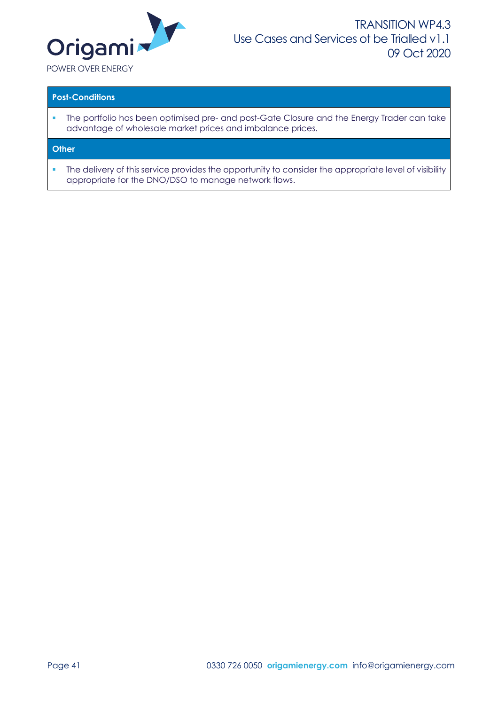

### **Post-Conditions**

**·** The portfolio has been optimised pre- and post-Gate Closure and the Energy Trader can take advantage of wholesale market prices and imbalance prices.

### **Other**

**•** The delivery of this service provides the opportunity to consider the appropriate level of visibility appropriate for the DNO/DSO to manage network flows.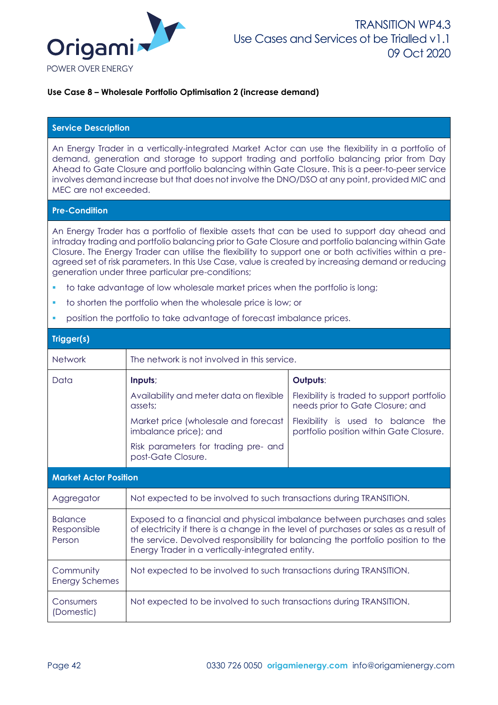

### **Use Case 8 – Wholesale Portfolio Optimisation 2 (increase demand)**

### **Service Description**

An Energy Trader in a vertically-integrated Market Actor can use the flexibility in a portfolio of demand, generation and storage to support trading and portfolio balancing prior from Day Ahead to Gate Closure and portfolio balancing within Gate Closure. This is a peer-to-peer service involves demand increase but that does not involve the DNO/DSO at any point, provided MIC and MEC are not exceeded.

#### **Pre-Condition**

An Energy Trader has a portfolio of flexible assets that can be used to support day ahead and intraday trading and portfolio balancing prior to Gate Closure and portfolio balancing within Gate Closure. The Energy Trader can utilise the flexibility to support one or both activities within a preagreed set of risk parameters. In this Use Case, value is created by increasing demand or reducing generation under three particular pre-conditions;

- to take advantage of low wholesale market prices when the portfolio is long;
- to shorten the portfolio when the wholesale price is low; or
- position the portfolio to take advantage of forecast imbalance prices.

| Trigger(s)                              |                                                                                                                                                                                                                                                                                                            |                                                                                |  |  |  |  |
|-----------------------------------------|------------------------------------------------------------------------------------------------------------------------------------------------------------------------------------------------------------------------------------------------------------------------------------------------------------|--------------------------------------------------------------------------------|--|--|--|--|
| <b>Network</b>                          | The network is not involved in this service.                                                                                                                                                                                                                                                               |                                                                                |  |  |  |  |
| Data                                    | Inputs;                                                                                                                                                                                                                                                                                                    | Outputs:                                                                       |  |  |  |  |
|                                         | Availability and meter data on flexible<br>assets;                                                                                                                                                                                                                                                         | Flexibility is traded to support portfolio<br>needs prior to Gate Closure; and |  |  |  |  |
|                                         | Market price (wholesale and forecast<br>imbalance price); and                                                                                                                                                                                                                                              | Flexibility is used to balance the<br>portfolio position within Gate Closure.  |  |  |  |  |
|                                         | Risk parameters for trading pre- and<br>post-Gate Closure.                                                                                                                                                                                                                                                 |                                                                                |  |  |  |  |
| <b>Market Actor Position</b>            |                                                                                                                                                                                                                                                                                                            |                                                                                |  |  |  |  |
| Aggregator                              | Not expected to be involved to such transactions during TRANSITION.                                                                                                                                                                                                                                        |                                                                                |  |  |  |  |
| <b>Balance</b><br>Responsible<br>Person | Exposed to a financial and physical imbalance between purchases and sales<br>of electricity if there is a change in the level of purchases or sales as a result of<br>the service. Devolved responsibility for balancing the portfolio position to the<br>Energy Trader in a vertically-integrated entity. |                                                                                |  |  |  |  |
| Community<br><b>Energy Schemes</b>      | Not expected to be involved to such transactions during TRANSITION.                                                                                                                                                                                                                                        |                                                                                |  |  |  |  |
| Consumers<br>(Domestic)                 | Not expected to be involved to such transactions during TRANSITION.                                                                                                                                                                                                                                        |                                                                                |  |  |  |  |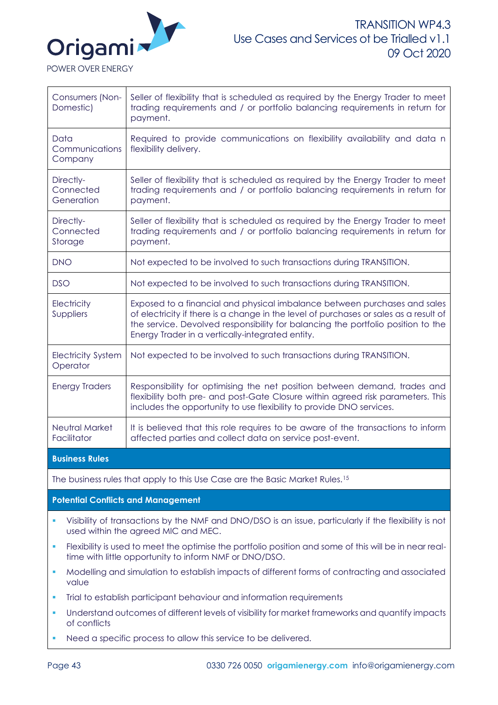

POWER OVER ENERGY

| Consumers (Non-<br>Domestic)          | Seller of flexibility that is scheduled as required by the Energy Trader to meet<br>trading requirements and / or portfolio balancing requirements in return for<br>payment.                                                                                                                               |
|---------------------------------------|------------------------------------------------------------------------------------------------------------------------------------------------------------------------------------------------------------------------------------------------------------------------------------------------------------|
| Data<br>Communications<br>Company     | Required to provide communications on flexibility availability and data n<br>flexibility delivery.                                                                                                                                                                                                         |
| Directly-<br>Connected<br>Generation  | Seller of flexibility that is scheduled as required by the Energy Trader to meet<br>trading requirements and / or portfolio balancing requirements in return for<br>payment.                                                                                                                               |
| Directly-<br>Connected<br>Storage     | Seller of flexibility that is scheduled as required by the Energy Trader to meet<br>trading requirements and / or portfolio balancing requirements in return for<br>payment.                                                                                                                               |
| <b>DNO</b>                            | Not expected to be involved to such transactions during TRANSITION.                                                                                                                                                                                                                                        |
| <b>DSO</b>                            | Not expected to be involved to such transactions during TRANSITION.                                                                                                                                                                                                                                        |
| Electricity<br>Suppliers              | Exposed to a financial and physical imbalance between purchases and sales<br>of electricity if there is a change in the level of purchases or sales as a result of<br>the service. Devolved responsibility for balancing the portfolio position to the<br>Energy Trader in a vertically-integrated entity. |
| <b>Electricity System</b><br>Operator | Not expected to be involved to such transactions during TRANSITION.                                                                                                                                                                                                                                        |
| <b>Energy Traders</b>                 | Responsibility for optimising the net position between demand, trades and<br>flexibility both pre- and post-Gate Closure within agreed risk parameters. This<br>includes the opportunity to use flexibility to provide DNO services.                                                                       |
| Neutral Market<br>Facilitator         | It is believed that this role requires to be aware of the transactions to inform<br>affected parties and collect data on service post-event.                                                                                                                                                               |
| <b>Business Rules</b>                 |                                                                                                                                                                                                                                                                                                            |
|                                       |                                                                                                                                                                                                                                                                                                            |

The business rules that apply to this Use Case are the Basic Market Rules.<sup>15</sup>

**Potential Conflicts and Management**

- Visibility of transactions by the NMF and DNO/DSO is an issue, particularly if the flexibility is not used within the agreed MIC and MEC.
- Flexibility is used to meet the optimise the portfolio position and some of this will be in near realtime with little opportunity to inform NMF or DNO/DSO.
- Modelling and simulation to establish impacts of different forms of contracting and associated value
- Trial to establish participant behaviour and information requirements
- Understand outcomes of different levels of visibility for market frameworks and quantify impacts of conflicts
- Need a specific process to allow this service to be delivered.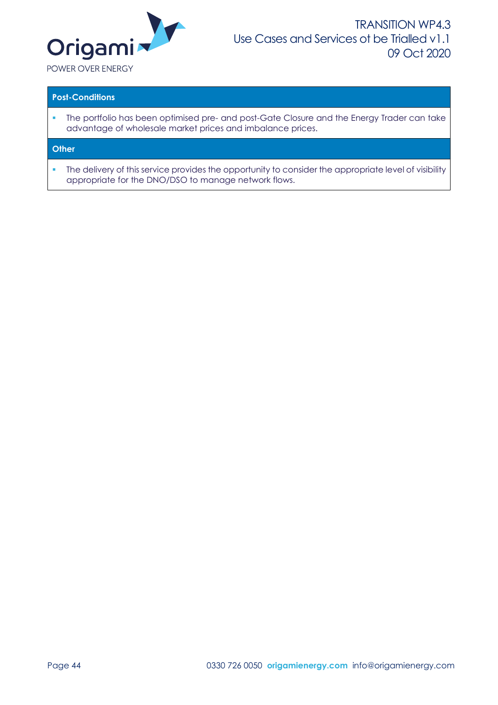

### **Post-Conditions**

**·** The portfolio has been optimised pre- and post-Gate Closure and the Energy Trader can take advantage of wholesale market prices and imbalance prices.

### **Other**

**•** The delivery of this service provides the opportunity to consider the appropriate level of visibility appropriate for the DNO/DSO to manage network flows.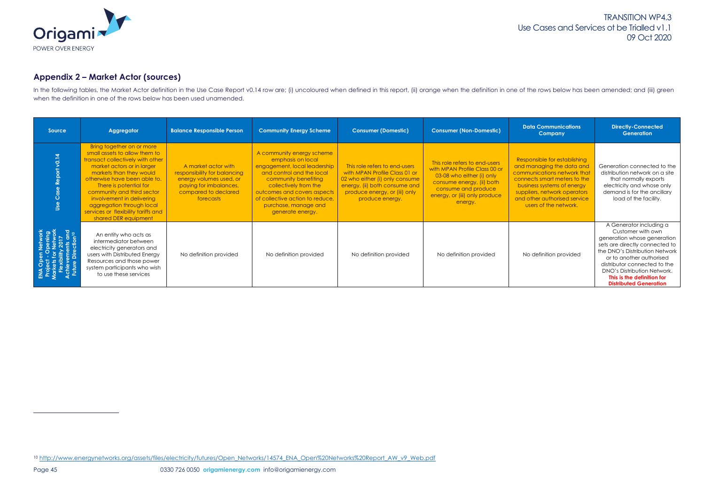

# <span id="page-44-0"></span>**Appendix 2 – Market Actor (sources)**

In the following tables, the Market Actor definition in the Use Case Report v0.14 row are; (i) uncoloured when defined in this report, (ii) orange when the definition in one of the rows below has been amended; and (iii) gr when the definition in one of the rows below has been used unamended.

| Source               | <b>Aggregator</b>                                                                                                                                                                                                                                                                                                                                                        | <b>Balance Responsible Person</b>                                                                                                             | <b>Community Energy Scheme</b>                                                                                                                                                                                                                                             | <b>Consumer (Domestic)</b>                                                                                                                                                            | <b>Consumer (Non-Domestic)</b>                                                                                                                                                              | <b>Data Communications</b><br>Company                                                                                                                                                                                                           | <b>Directly-Connected</b><br><b>Generation</b>                                                                                                                                                                                                                                                            |
|----------------------|--------------------------------------------------------------------------------------------------------------------------------------------------------------------------------------------------------------------------------------------------------------------------------------------------------------------------------------------------------------------------|-----------------------------------------------------------------------------------------------------------------------------------------------|----------------------------------------------------------------------------------------------------------------------------------------------------------------------------------------------------------------------------------------------------------------------------|---------------------------------------------------------------------------------------------------------------------------------------------------------------------------------------|---------------------------------------------------------------------------------------------------------------------------------------------------------------------------------------------|-------------------------------------------------------------------------------------------------------------------------------------------------------------------------------------------------------------------------------------------------|-----------------------------------------------------------------------------------------------------------------------------------------------------------------------------------------------------------------------------------------------------------------------------------------------------------|
| $\tilde{\mathbf{5}}$ | Bring together on or more<br>small assets to allow them to<br>transact collectively with other<br>market actors or in larger<br>markets than they would<br>otherwise have been able to.<br>There is potential for<br>community and third sector<br>involvement in delivering<br>aggregation through local<br>services or flexibility tariffs and<br>shared DER equipment | A market actor with<br>responsibility for balancing<br>energy volumes used, or<br>paying for imbalances,<br>compared to declared<br>forecasts | A community energy scheme<br>emphasis on local<br>engagement, local leadership<br>and control and the local<br>community benefiting<br>collectively from the<br>outcomes and covers aspects<br>of collective action to reduce,<br>purchase, manage and<br>generate energy. | This role refers to end-users<br>with MPAN Profile Class 01 or<br>02 who either (i) only consume<br>energy, (ii) both consume and<br>produce energy, or (iii) only<br>produce energy. | This role refers to end-users<br>with MPAN Profile Class 00 or<br>03-08 who either (i) only<br>consume energy, (ii) both<br>consume and produce<br>energy, or (iii) only produce<br>energy. | Responsible for establishing<br>and managing the data and<br>communications network that<br>connects smart meters to the<br>business systems of energy<br>suppliers, network operators<br>and other authorised service<br>users of the network. | Generation connected to the<br>distribution network on a site<br>that normally exports<br>electricity and whose only<br>demand is for the ancillary<br>load of the facility.                                                                                                                              |
|                      | An entity who acts as<br>intermediator between<br>electricity generators and<br>users with Distributed Energy<br>Resources and those power<br>system participants who wish<br>to use these services                                                                                                                                                                      | No definition provided                                                                                                                        | No definition provided                                                                                                                                                                                                                                                     | No definition provided                                                                                                                                                                | No definition provided                                                                                                                                                                      | No definition provided                                                                                                                                                                                                                          | A Generator including a<br>Customer with own<br>generation whose generation<br>sets are directly connected to<br>the DNO's Distribution Network<br>or to another authorised<br>distributor connected to the<br>DNO's Distribution Network.<br>This is the definition for<br><b>Distributed Generation</b> |

<sup>10</sup> [http://www.energynetworks.org/assets/files/electricity/futures/Open\\_Networks/14574\\_ENA\\_Open%20Networks%20Report\\_AW\\_v9\\_Web.pdf](http://www.energynetworks.org/assets/files/electricity/futures/Open_Networks/14574_ENA_Open%20Networks%20Report_AW_v9_Web.pdf)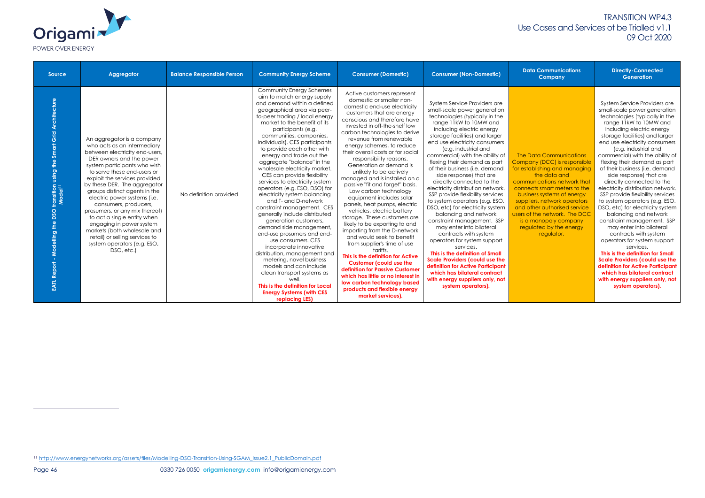#### **Directly-Connected Generation**

| Origami                  |
|--------------------------|
| <b>POWER OVER ENERGY</b> |

| <b>Source</b>                                                                                          | Aggregator                                                                                                                                                                                                                                                                                                                                                                                                                                                                                                                                                   | <b>Balance Responsible Person</b> | <b>Community Energy Scheme</b>                                                                                                                                                                                                                                                                                                                                                                                                                                                                                                                                                                                                                                                                                                                                                                                                                                                                                                                                                      | <b>Consumer (Domestic)</b>                                                                                                                                                                                                                                                                                                                                                                                                                                                                                                                                                                                                                                                                                                                                                                                                                                                                                                                                                                             | <b>Consumer (Non-Domestic)</b>                                                                                                                                                                                                                                                                                                                                                                                                                                                                                                                                                                                                                                                                                                                                                                                                                                                                                                  | <b>Data Communications</b><br><b>Company</b>                                                                                                                                                                                                                                                                                                              |
|--------------------------------------------------------------------------------------------------------|--------------------------------------------------------------------------------------------------------------------------------------------------------------------------------------------------------------------------------------------------------------------------------------------------------------------------------------------------------------------------------------------------------------------------------------------------------------------------------------------------------------------------------------------------------------|-----------------------------------|-------------------------------------------------------------------------------------------------------------------------------------------------------------------------------------------------------------------------------------------------------------------------------------------------------------------------------------------------------------------------------------------------------------------------------------------------------------------------------------------------------------------------------------------------------------------------------------------------------------------------------------------------------------------------------------------------------------------------------------------------------------------------------------------------------------------------------------------------------------------------------------------------------------------------------------------------------------------------------------|--------------------------------------------------------------------------------------------------------------------------------------------------------------------------------------------------------------------------------------------------------------------------------------------------------------------------------------------------------------------------------------------------------------------------------------------------------------------------------------------------------------------------------------------------------------------------------------------------------------------------------------------------------------------------------------------------------------------------------------------------------------------------------------------------------------------------------------------------------------------------------------------------------------------------------------------------------------------------------------------------------|---------------------------------------------------------------------------------------------------------------------------------------------------------------------------------------------------------------------------------------------------------------------------------------------------------------------------------------------------------------------------------------------------------------------------------------------------------------------------------------------------------------------------------------------------------------------------------------------------------------------------------------------------------------------------------------------------------------------------------------------------------------------------------------------------------------------------------------------------------------------------------------------------------------------------------|-----------------------------------------------------------------------------------------------------------------------------------------------------------------------------------------------------------------------------------------------------------------------------------------------------------------------------------------------------------|
| transition using the Smart Grid Architecture<br>Model <sup>11</sup><br>EATL Report - Modelling the DSO | An aggregator is a company<br>who acts as an intermediary<br>between electricity end-users,<br>DER owners and the power<br>system participants who wish<br>to serve these end-users or<br>exploit the services provided<br>by these DER. The aggregator<br>groups distinct agents in the<br>electric power systems (i.e.<br>consumers, producers,<br>prosumers, or any mix thereof)<br>to act a single entity when<br>engaging in power system<br>markets (both wholesale and<br>retail) or selling services to<br>system operators (e.g. ESO,<br>DSO, etc.) | No definition provided            | Community Energy Schemes<br>aim to match energy supply<br>and demand within a defined<br>geographical area via peer-<br>to-peer trading / local energy<br>market to the benefit of its<br>participants (e.g.<br>communities, companies,<br>individuals). CES participants<br>to provide each other with<br>energy and trade out the<br>aggregate "balance" in the<br>wholesale electricity market.<br>CES can provide flexibility<br>services to electricity system<br>operators (e.g. ESO, DSO) for<br>electricity system balancing<br>and T- and D-network<br>constraint management. CES<br>generally include distributed<br>generation customers,<br>demand side management,<br>end-use prosumers and end-<br>use consumers. CES<br>incorporate innovative<br>distribution, management and<br>metering, novel business<br>models and can include<br>clean transport systems as<br>well.<br>This is the definition for Local<br><b>Energy Systems (with CES</b><br>replacing LES) | Active customers represent<br>domestic or smaller non-<br>domestic end-use electricity<br>customers that are energy<br>conscious and therefore have<br>invested in off-the-shelf low<br>carbon technologies to derive<br>revenue from renewable<br>energy schemes, to reduce<br>their overall costs or for social<br>responsibility reasons.<br>Generation or demand is<br>unlikely to be actively<br>managed and is installed on a<br>passive "fit and forget" basis.<br>Low carbon technology<br>equipment includes solar<br>panels, heat pumps, electric<br>vehicles, electric battery<br>storage. These customers are<br>likely to be exporting to and<br>importing from the D-network<br>and would seek to benefit<br>from supplier's time of use<br>tariffs.<br>This is the definition for Active<br><b>Customer (could use the</b><br>definition for Passive Customer<br>which has little or no interest in<br>low carbon technology based<br>products and flexible energy<br>market services). | System Service Providers are<br>small-scale power generation<br>technologies (typically in the<br>range 11kW to 10MW and<br>including electric energy<br>storage facilities) and larger<br>end use electricity consumers<br>(e.g. industrial and<br>commercial) with the ability of<br>flexing their demand as part<br>of their business (i.e. demand<br>side response) that are<br>directly connected to the<br>electricity distribution network.<br>SSP provide flexibility services<br>to system operators (e.g. ESO,<br>DSO, etc) for electricity system<br>balancing and network<br>constraint management. SSP<br>may enter into bilateral<br>contracts with system<br>operators for system support<br>services.<br>This is the definition of Small<br><b>Scale Providers (could use the</b><br>definition for Active Participant<br>which has bilateral contract<br>with energy suppliers only, not<br>system operators). | <b>The Data Communication</b><br>Company (DCC) is respons<br>for establishing and manag<br>the data and<br>communications network t<br>connects smart meters to<br>business systems of energ<br>suppliers, network operate<br>and other authorised servi<br>users of the network. The D<br>is a monopoly company<br>regulated by the energy<br>regulator. |

Data Communications any (DCC) is responsible ablishing and managing the data and unications network that cts smart meters to the bess systems of energy iers, network operators ther authorised service f the network. The DCC monopoly company Jated by the energy regulator.

System Service Providers are small-scale power generation technologies (typically in the range 11kW to 10MW and including electric energy storage facilities) and larger end use electricity consumers (e.g. industrial and commercial) with the ability of flexing their demand as part of their business (i.e. demand side response) that are directly connected to the electricity distribution network. SSP provide flexibility services to system operators (e.g. ESO, DSO, etc) for electricity system balancing and network constraint management. SSP may enter into bilateral contracts with system operators for system support services. **This is the definition for Small** 

**Scale Providers (could use the definition for Active Participant which has bilateral contract with energy suppliers only, not system operators).**

<sup>11</sup> [http://www.energynetworks.org/assets/files/Modelling-DSO-Transition-Using-SGAM\\_Issue2.1\\_PublicDomain.pdf](http://www.energynetworks.org/assets/files/Modelling-DSO-Transition-Using-SGAM_Issue2.1_PublicDomain.pdf)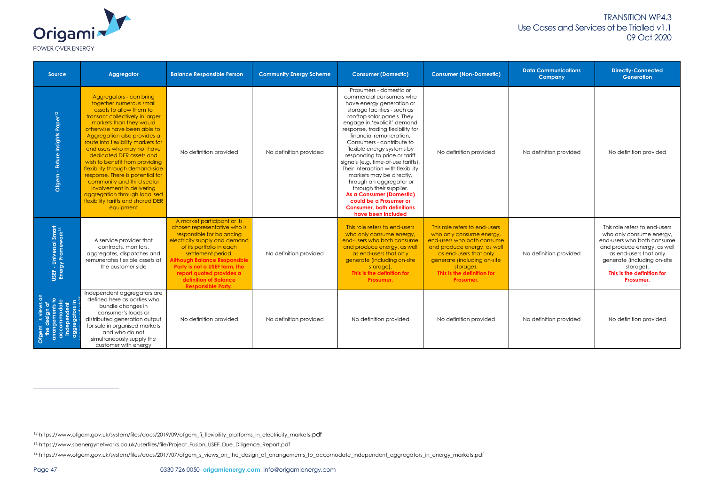

| <b>Source</b>                                                                    | Aggregator                                                                                                                                                                                                                                                                                                                                                                                                                                                                                                                                                         | <b>Balance Responsible Person</b>                                                                                                                                                                                                                                                                                              | <b>Community Energy Scheme</b> | <b>Consumer (Domestic)</b>                                                                                                                                                                                                                                                                                                                                                                                                                                                                                                                                                                                                 | <b>Consumer (Non-Domestic)</b>                                                                                                                                                                                                          | <b>Data Communications</b><br><b>Company</b> | <b>Directly-Connected</b><br><b>Generation</b>                                                                                                                                                                                          |
|----------------------------------------------------------------------------------|--------------------------------------------------------------------------------------------------------------------------------------------------------------------------------------------------------------------------------------------------------------------------------------------------------------------------------------------------------------------------------------------------------------------------------------------------------------------------------------------------------------------------------------------------------------------|--------------------------------------------------------------------------------------------------------------------------------------------------------------------------------------------------------------------------------------------------------------------------------------------------------------------------------|--------------------------------|----------------------------------------------------------------------------------------------------------------------------------------------------------------------------------------------------------------------------------------------------------------------------------------------------------------------------------------------------------------------------------------------------------------------------------------------------------------------------------------------------------------------------------------------------------------------------------------------------------------------------|-----------------------------------------------------------------------------------------------------------------------------------------------------------------------------------------------------------------------------------------|----------------------------------------------|-----------------------------------------------------------------------------------------------------------------------------------------------------------------------------------------------------------------------------------------|
| Ofgem - Future Insights Paper <sup>12</sup>                                      | Aggregators - can bring<br>together numerous small<br>assets to allow them to<br>transact collectively in larger<br>markets than they would<br>otherwise have been able to.<br>Aggregation also provides a<br>route into flexibility markets for<br>end users who may not have<br>dedicated DER assets and<br>wish to benefit from providing<br>flexibility through demand-side<br>response. There is potential for<br>community and third sector<br>involvement in delivering<br>aggregation through localised<br>flexibility tariffs and shared DER<br>equipment | No definition provided                                                                                                                                                                                                                                                                                                         | No definition provided         | Prosumers - domestic or<br>commercial consumers who<br>have energy generation or<br>storage facilities - such as<br>rooftop solar panels. They<br>engage in 'explicit' demand<br>response, trading flexibility for<br>financial remuneration.<br>Consumers - contribute to<br>flexible energy systems by<br>responding to price or tariff<br>signals (e.g. time-of-use tariffs).<br>Their interaction with flexibility<br>markets may be directly,<br>through an aggregator or<br>through their supplier.<br>As a Consumer (Domestic)<br>could be a Prosumer or<br><b>Consumer, both definitions</b><br>have been included | No definition provided                                                                                                                                                                                                                  | No definition provided                       | No definition provided                                                                                                                                                                                                                  |
| USEF - Universal Smart<br>Energy Framework <sup>13</sup>                         | A service provider that<br>contracts, monitors,<br>aggregates, dispatches and<br>remunerates flexible assets at<br>the customer side                                                                                                                                                                                                                                                                                                                                                                                                                               | A market participant or its<br>chosen representative who is<br>responsible for balancing<br>electricity supply and demand<br>of its portfolio in each<br>settlement period.<br>Although Balance Responsible<br>Party is not a USEF term, the<br>report quoted provides a<br>definition of Balance<br><b>Responsible Party.</b> | No definition provided         | This role refers to end-users<br>who only consume energy,<br>end-users who both consume<br>and produce energy, as well<br>as end-users that only<br>generate (including on-site<br>storage).<br>This is the definition for<br>Prosumer.                                                                                                                                                                                                                                                                                                                                                                                    | This role refers to end-users<br>who only consume energy,<br>end-users who both consume<br>and produce energy, as well<br>as end-users that only<br>generate (including on-site<br>storage).<br>This is the definition for<br>Prosumer. | No definition provided                       | This role refers to end-users<br>who only consume energy,<br>end-users who both consume<br>and produce energy, as well<br>as end-users that only<br>generate (including on-site<br>storage).<br>This is the definition for<br>Prosumer. |
| the design of<br>arrangements to<br>accommodate<br>independent<br>aggregators in | Independent aggregators are<br>defined here as parties who<br>bundle changes in<br>consumer's loads or<br>distributed generation output<br>for sale in organised markets<br>and who do not<br>simultaneously supply the<br>customer with energy                                                                                                                                                                                                                                                                                                                    | No definition provided                                                                                                                                                                                                                                                                                                         | No definition provided         | No definition provided                                                                                                                                                                                                                                                                                                                                                                                                                                                                                                                                                                                                     | No definition provided                                                                                                                                                                                                                  | No definition provided                       | No definition provided                                                                                                                                                                                                                  |

<sup>12</sup> https://www.ofgem.gov.uk/system/files/docs/2019/09/ofgem\_fi\_flexibility\_platforms\_in\_electricity\_markets.pdf

<sup>13</sup> https://www.spenergynetworks.co.uk/userfiles/file/Project\_Fusion\_USEF\_Due\_Diligence\_Report.pdf

<sup>14</sup> https://www.ofgem.gov.uk/system/files/docs/2017/07/ofgem\_s\_views\_on\_the\_design\_of\_arrangements\_to\_accomodate\_independent\_aggregators\_in\_energy\_markets.pdf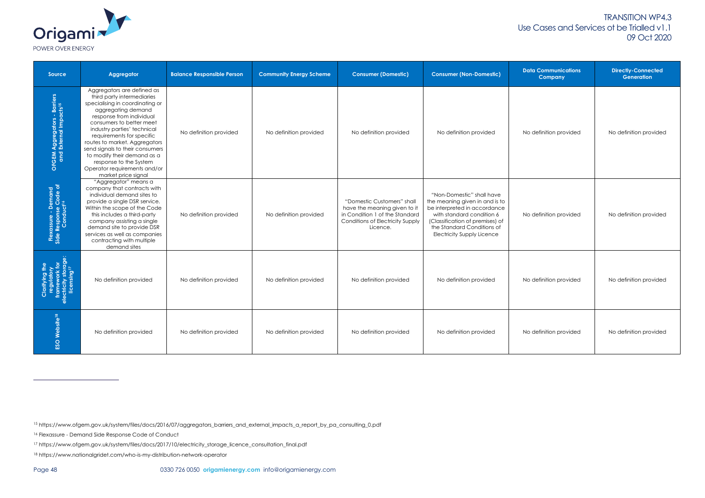

| Source                                                                      | Aggregator                                                                                                                                                                                                                                                                                                                                                                                                                | <b>Balance Responsible Person</b> | <b>Community Energy Scheme</b> | <b>Consumer (Domestic)</b>                                                                                                                          | <b>Consumer (Non-Domestic)</b>                                                                                                                                                                                                 | <b>Data Communications</b><br><b>Company</b> | <b>Directly-Connected</b><br><b>Generation</b> |
|-----------------------------------------------------------------------------|---------------------------------------------------------------------------------------------------------------------------------------------------------------------------------------------------------------------------------------------------------------------------------------------------------------------------------------------------------------------------------------------------------------------------|-----------------------------------|--------------------------------|-----------------------------------------------------------------------------------------------------------------------------------------------------|--------------------------------------------------------------------------------------------------------------------------------------------------------------------------------------------------------------------------------|----------------------------------------------|------------------------------------------------|
| OFGEM Aggregators - Barriers<br>and External Impacts <sup>15</sup>          | Aggregators are defined as<br>third party intermediaries<br>specialising in coordinating or<br>aggregating demand<br>response from individual<br>consumers to better meet<br>industry parties' technical<br>requirements for specific<br>routes to market. Aggregators<br>send signals to their consumers<br>to modify their demand as a<br>response to the System<br>Operator requirements and/or<br>market price signal | No definition provided            | No definition provided         | No definition provided                                                                                                                              | No definition provided                                                                                                                                                                                                         | No definition provided                       | No definition provided                         |
| Flexassure - Demand<br>Side Response Code of<br>Conduct <sup>16</sup>       | "Aggregator" means a<br>company that contracts with<br>individual demand sites to<br>provide a single DSR service.<br>Within the scope of the Code<br>this includes a third-party<br>company assisting a single<br>demand site to provide DSR<br>services as well as companies<br>contracting with multiple<br>demand sites                                                                                               | No definition provided            | No definition provided         | "Domestic Customers" shall<br>have the meaning given to it<br>in Condition 1 of the Standard<br><b>Conditions of Electricity Supply</b><br>Licence. | "Non-Domestic" shall have<br>the meaning given in and is to<br>be interpreted in accordance<br>with standard condition 6<br>(Classification of premises) of<br>the Standard Conditions of<br><b>Electricity Supply Licence</b> | No definition provided                       | No definition provided                         |
| regulatory<br>framework for<br>ectricity storage<br>licensing <sup>17</sup> | No definition provided                                                                                                                                                                                                                                                                                                                                                                                                    | No definition provided            | No definition provided         | No definition provided                                                                                                                              | No definition provided                                                                                                                                                                                                         | No definition provided                       | No definition provided                         |
| ESO Website <sup>18</sup>                                                   | No definition provided                                                                                                                                                                                                                                                                                                                                                                                                    | No definition provided            | No definition provided         | No definition provided                                                                                                                              | No definition provided                                                                                                                                                                                                         | No definition provided                       | No definition provided                         |

<sup>15</sup> https://www.ofgem.gov.uk/system/files/docs/2016/07/aggregators\_barriers\_and\_external\_impacts\_a\_report\_by\_pa\_consulting\_0.pdf

<sup>16</sup> Flexassure - Demand Side Response Code of Conduct

<sup>17</sup> https://www.ofgem.gov.uk/system/files/docs/2017/10/electricity\_storage\_licence\_consultation\_final.pdf

<sup>18</sup> https://www.nationalgridet.com/who-is-my-distribution-network-operator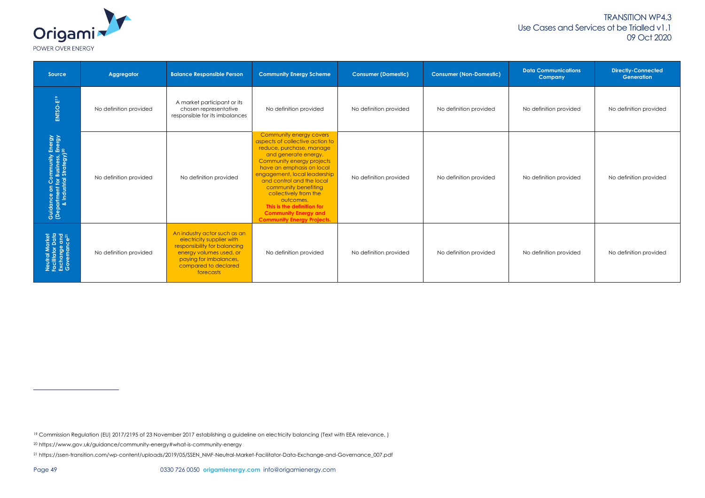

| Source                                                                                                   | Aggregator             | <b>Balance Responsible Person</b>                                                                                                                                                   | <b>Community Energy Scheme</b>                                                                                                                                                                                                                                                                                                                                                                        | <b>Consumer (Domestic)</b> | <b>Consumer (Non-Domestic)</b> | <b>Data Communications</b><br><b>Company</b> | <b>Directly-Connected</b><br><b>Generation</b> |
|----------------------------------------------------------------------------------------------------------|------------------------|-------------------------------------------------------------------------------------------------------------------------------------------------------------------------------------|-------------------------------------------------------------------------------------------------------------------------------------------------------------------------------------------------------------------------------------------------------------------------------------------------------------------------------------------------------------------------------------------------------|----------------------------|--------------------------------|----------------------------------------------|------------------------------------------------|
| ENTSO-E <sup>19</sup>                                                                                    | No definition provided | A market participant or its<br>chosen representative<br>responsible for its imbalances                                                                                              | No definition provided                                                                                                                                                                                                                                                                                                                                                                                | No definition provided     | No definition provided         | No definition provided                       | No definition provided                         |
| Guidance on Community Energy<br>(Department for Business, Energy<br>& Industrial Strategy) <sup>20</sup> | No definition provided | No definition provided                                                                                                                                                              | Community energy covers<br>aspects of collective action to<br>reduce, purchase, manage<br>and generate energy.<br>Community energy projects<br>have an emphasis on local<br>engagement, local leadership<br>and control and the local<br>community benefiting<br>collectively from the<br>outcomes.<br>This is the definition for<br><b>Community Energy and</b><br><b>Community Energy Projects.</b> | No definition provided     | No definition provided         | No definition provided                       | No definition provided                         |
| Neutral Market<br>Facilitator Data<br>Exchange and<br>Governance <sup>21</sup>                           | No definition provided | An industry actor such as an<br>electricity supplier with<br>responsibility for balancing<br>energy volumes used, or<br>paying for imbalances,<br>compared to declared<br>forecasts | No definition provided                                                                                                                                                                                                                                                                                                                                                                                | No definition provided     | No definition provided         | No definition provided                       | No definition provided                         |

<sup>&</sup>lt;sup>19</sup> Commission Regulation (EU) 2017/2195 of 23 November 2017 establishing a guideline on electricity balancing (Text with EEA relevance.)

<sup>20</sup> https://www.gov.uk/guidance/community-energy#what-is-community-energy

<sup>21</sup> https://ssen-transition.com/wp-content/uploads/2019/05/SSEN\_NMF-Neutral-Market-Facilitator-Data-Exchange-and-Governance\_007.pdf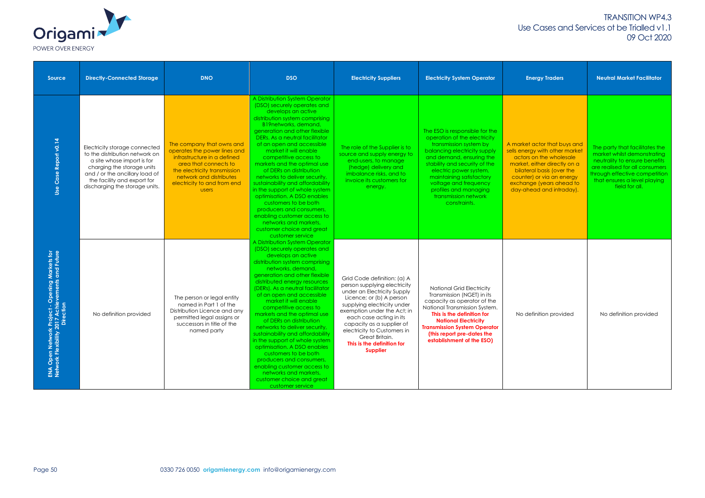| <b>Origami</b>    |
|-------------------|
| POWER OVER ENERGY |

| <b>Source</b>                                                                                                          | <b>Directly-Connected Storage</b>                                                                                                                                                                                              | <b>DNO</b>                                                                                                                                                                                                                  | <b>DSO</b>                                                                                                                                                                                                                                                                                                                                                                                                                                                                                                                                                                                                                                                                                  | <b>Electricity Suppliers</b>                                                                                                                                                                                                                                                                                                                   | <b>Electricity System Operator</b>                                                                                                                                                                                                                                                                                                    | <b>Energy Traders</b>                                                                                                                                                                                                                       | <b>Neutral Market Facilitator</b>                                                                                                                                                                                   |
|------------------------------------------------------------------------------------------------------------------------|--------------------------------------------------------------------------------------------------------------------------------------------------------------------------------------------------------------------------------|-----------------------------------------------------------------------------------------------------------------------------------------------------------------------------------------------------------------------------|---------------------------------------------------------------------------------------------------------------------------------------------------------------------------------------------------------------------------------------------------------------------------------------------------------------------------------------------------------------------------------------------------------------------------------------------------------------------------------------------------------------------------------------------------------------------------------------------------------------------------------------------------------------------------------------------|------------------------------------------------------------------------------------------------------------------------------------------------------------------------------------------------------------------------------------------------------------------------------------------------------------------------------------------------|---------------------------------------------------------------------------------------------------------------------------------------------------------------------------------------------------------------------------------------------------------------------------------------------------------------------------------------|---------------------------------------------------------------------------------------------------------------------------------------------------------------------------------------------------------------------------------------------|---------------------------------------------------------------------------------------------------------------------------------------------------------------------------------------------------------------------|
| Report v0.14<br>Case<br>Use                                                                                            | Electricity storage connected<br>to the distribution network on<br>a site whose import is for<br>charging the storage units<br>and / or the ancillary load of<br>the facility and export for<br>discharging the storage units. | The company that owns and<br>operates the power lines and<br>infrastructure in a defined<br>area that connects to<br>the electricity transmission<br>network and distributes<br>electricity to and from end<br><b>USERS</b> | A Distribution System Operator<br>(DSO) securely operates and<br>develops an active<br>distribution system comprising<br>B19networks, demand,<br>generation and other flexible<br>DERs. As a neutral facilitator<br>of an open and accessible<br>market it will enable<br>competitive access to<br>markets and the optimal use<br>of DERs on distribution<br>networks to deliver security,<br>sustainability and affordability<br>in the support of whole system<br>optimisation. A DSO enables<br>customers to be both<br>producers and consumers,<br>enabling customer access to<br>networks and markets,<br>customer choice and great<br>customer service                                | The role of the Supplier is to<br>source and supply energy to<br>end-users, to manage<br>(hedge) delivery and<br>imbalance risks, and to<br>invoice its customers for<br>energy.                                                                                                                                                               | The ESO is responsible for the<br>operation of the electricity<br>transmission system by<br>balancing electricity supply<br>and demand, ensuring the<br>stability and security of the<br>electric power system,<br>maintaining satisfactory<br>voltage and frequency<br>profiles and managing<br>transmission network<br>constraints. | A market actor that buys and<br>sells energy with other market<br>actors on the wholesale<br>market, either directly on a<br>bilateral basis (over the<br>counter) or via an energy<br>exchange (years ahead to<br>day-ahead and intraday). | The party that facilitates the<br>market whilst demonstrating<br>neutrality to ensure benefits<br>are realised for all consumers<br>through effective competition<br>that ensures a level playing<br>field for all. |
| Project - Opening Markets for<br>017 Achievements and Future<br>Direction<br>ENA Open Network<br>Network Flexibility 2 | No definition provided                                                                                                                                                                                                         | The person or legal entity<br>named in Part 1 of the<br>Distribution Licence and any<br>permitted legal assigns or<br>successors in title of the<br>named party                                                             | A Distribution System Operator<br>(DSO) securely operates and<br>develops an active<br>distribution system comprising<br>networks, demand,<br>generation and other flexible<br>distributed energy resources<br>(DERs). As a neutral facilitator<br>of an open and accessible<br>market it will enable<br>competitive access to<br>markets and the optimal use<br>of DERs on distribution<br>networks to deliver security,<br>sustainability and affordability<br>in the support of whole system<br>optimisation. A DSO enables<br>customers to be both<br>producers and consumers,<br>enabling customer access to<br>networks and markets,<br>customer choice and great<br>customer service | Grid Code definition: (a) A<br>person supplying electricity<br>under an Electricity Supply<br>Licence; or (b) A person<br>supplying electricity under<br>exemption under the Act; in<br>each case acting in its<br>capacity as a supplier of<br>electricity to Customers in<br>Great Britain.<br>This is the definition for<br><b>Supplier</b> | <b>National Grid Electricity</b><br>Transmission (NGET) in its<br>capacity as operator of the<br>National Transmission System.<br>This is the definition for<br><b>National Electricity</b><br><b>Transmission System Operator</b><br>(this report pre-dates the<br>establishment of the ESO)                                         | No definition provided                                                                                                                                                                                                                      | No definition provided                                                                                                                                                                                              |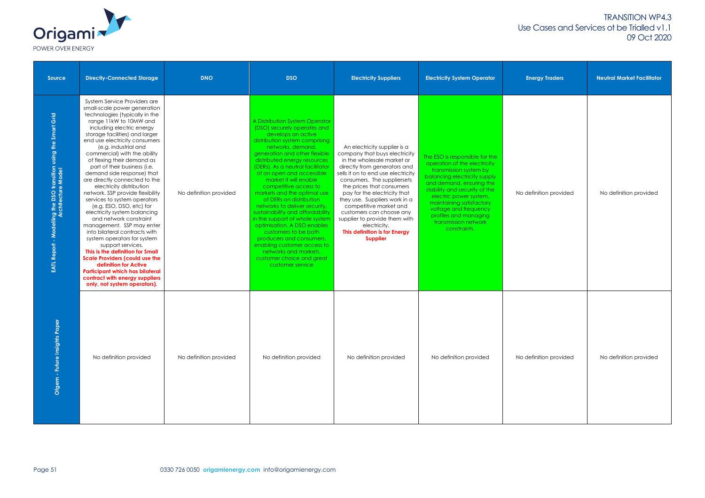

| Source                                                                                       | <b>Directly-Connected Storage</b>                                                                                                                                                                                                                                                                                                                                                                                                                                                                                                                                                                                                                                                                                                                                                                                                                                                                                                       | <b>DNO</b>             | <b>DSO</b>                                                                                                                                                                                                                                                                                                                                                                                                                                                                                                                                                                                                                                                                                  | <b>Electricity Suppliers</b>                                                                                                                                                                                                                                                                                                                                                                                                                              | <b>Electricity System Operator</b>                                                                                                                                                                                                                                                                                                    | <b>Energy Traders</b>  | <b>Neutral Market Facilitator</b> |
|----------------------------------------------------------------------------------------------|-----------------------------------------------------------------------------------------------------------------------------------------------------------------------------------------------------------------------------------------------------------------------------------------------------------------------------------------------------------------------------------------------------------------------------------------------------------------------------------------------------------------------------------------------------------------------------------------------------------------------------------------------------------------------------------------------------------------------------------------------------------------------------------------------------------------------------------------------------------------------------------------------------------------------------------------|------------------------|---------------------------------------------------------------------------------------------------------------------------------------------------------------------------------------------------------------------------------------------------------------------------------------------------------------------------------------------------------------------------------------------------------------------------------------------------------------------------------------------------------------------------------------------------------------------------------------------------------------------------------------------------------------------------------------------|-----------------------------------------------------------------------------------------------------------------------------------------------------------------------------------------------------------------------------------------------------------------------------------------------------------------------------------------------------------------------------------------------------------------------------------------------------------|---------------------------------------------------------------------------------------------------------------------------------------------------------------------------------------------------------------------------------------------------------------------------------------------------------------------------------------|------------------------|-----------------------------------|
| Grid<br>Modelling the DSO transition using the Smart<br>Architecture Model<br>Report<br>EATL | System Service Providers are<br>small-scale power generation<br>technologies (typically in the<br>range 11kW to 10MW and<br>including electric energy<br>storage facilities) and larger<br>end use electricity consumers<br>(e.g. industrial and<br>commercial) with the ability<br>of flexing their demand as<br>part of their business (i.e.<br>demand side response) that<br>are directly connected to the<br>electricity distribution<br>network. SSP provide flexibility<br>services to system operators<br>(e.g. ESO, DSO, etc) for<br>electricity system balancing<br>and network constraint<br>management. SSP may enter<br>into bilateral contracts with<br>system operators for system<br>support services.<br>This is the definition for Small<br><b>Scale Providers (could use the</b><br>definition for Active<br><b>Participant which has bilateral</b><br>contract with energy suppliers<br>only, not system operators). | No definition provided | A Distribution System Operator<br>(DSO) securely operates and<br>develops an active<br>distribution system comprising<br>networks, demand,<br>generation and other flexible<br>distributed energy resources<br>(DERs). As a neutral facilitator<br>of an open and accessible<br>market it will enable<br>competitive access to<br>markets and the optimal use<br>of DERs on distribution<br>networks to deliver security,<br>sustainability and affordability<br>in the support of whole system<br>optimisation. A DSO enables<br>customers to be both<br>producers and consumers,<br>enabling customer access to<br>networks and markets,<br>customer choice and great<br>customer service | An electricity supplier is a<br>company that buys electricity<br>in the wholesale market or<br>directly from generators and<br>sells it on to end use electricity<br>consumers. The suppliersets<br>the prices that consumers<br>pay for the electricity that<br>they use. Suppliers work in a<br>competitive market and<br>customers can choose any<br>supplier to provide them with<br>electricity.<br>This definition is for Energy<br><b>Supplier</b> | The ESO is responsible for the<br>operation of the electricity<br>transmission system by<br>balancing electricity supply<br>and demand, ensuring the<br>stability and security of the<br>electric power system,<br>maintaining satisfactory<br>voltage and frequency<br>profiles and managing<br>transmission network<br>constraints. | No definition provided | No definition provided            |
| $\overline{5}$<br>Ofgem - Future Insights                                                    | No definition provided                                                                                                                                                                                                                                                                                                                                                                                                                                                                                                                                                                                                                                                                                                                                                                                                                                                                                                                  | No definition provided | No definition provided                                                                                                                                                                                                                                                                                                                                                                                                                                                                                                                                                                                                                                                                      | No definition provided                                                                                                                                                                                                                                                                                                                                                                                                                                    | No definition provided                                                                                                                                                                                                                                                                                                                | No definition provided | No definition provided            |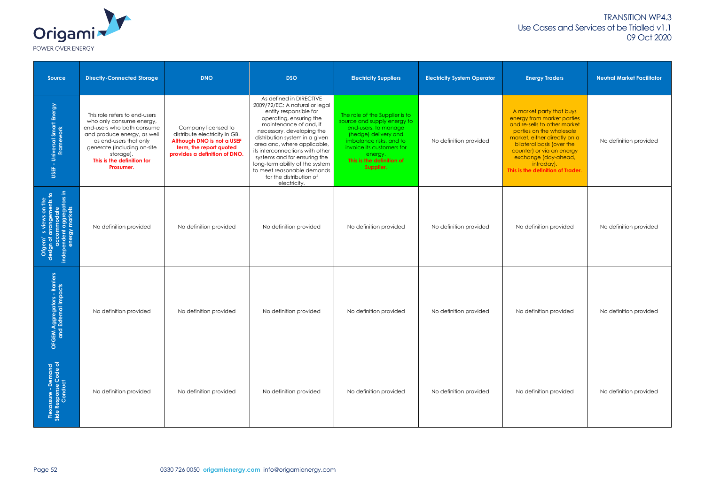

| Source                                                                                                           | <b>Directly-Connected Storage</b>                                                                                                                                                                                                       | <b>DNO</b>                                                                                                                                     | <b>DSO</b>                                                                                                                                                                                                                                                                                                                                                                                                            | <b>Electricity Suppliers</b>                                                                                                                                                                                               | <b>Electricity System Operator</b> | <b>Energy Traders</b>                                                                                                                                                                                                                                                                   | <b>Neutral Market Facilitator</b> |
|------------------------------------------------------------------------------------------------------------------|-----------------------------------------------------------------------------------------------------------------------------------------------------------------------------------------------------------------------------------------|------------------------------------------------------------------------------------------------------------------------------------------------|-----------------------------------------------------------------------------------------------------------------------------------------------------------------------------------------------------------------------------------------------------------------------------------------------------------------------------------------------------------------------------------------------------------------------|----------------------------------------------------------------------------------------------------------------------------------------------------------------------------------------------------------------------------|------------------------------------|-----------------------------------------------------------------------------------------------------------------------------------------------------------------------------------------------------------------------------------------------------------------------------------------|-----------------------------------|
| - Universal Smart Energy<br>Framework<br>USEF                                                                    | This role refers to end-users<br>who only consume energy,<br>end-users who both consume<br>and produce energy, as well<br>as end-users that only<br>generate (including on-site<br>storage).<br>This is the definition for<br>Prosumer. | Company licensed to<br>distribute electricity in GB.<br>Although DNO is not a USEF<br>term, the report quoted<br>provides a definition of DNO. | As defined in DIRECTIVE<br>2009/72/EC: A natural or legal<br>entity responsible for<br>operating, ensuring the<br>maintenance of and, if<br>necessary, developing the<br>distribution system in a given<br>area and, where applicable,<br>its interconnections with other<br>systems and for ensuring the<br>long-term ability of the system<br>to meet reasonable demands<br>for the distribution of<br>electricity. | The role of the Supplier is to<br>source and supply energy to<br>end-users, to manage<br>(hedge) delivery and<br>imbalance risks, and to<br>invoice its customers for<br>energy.<br>This is the definition of<br>Supplier. | No definition provided             | A market party that buys<br>energy from market parties<br>and re-sells to other market<br>parties on the wholesale<br>market, either directly on a<br>bilateral basis (over the<br>counter) or via an energy<br>exchange (day-ahead,<br>intraday).<br>This is the definition of Trader. | No definition provided            |
| Ofgem's views on the<br>design of arrangements to<br>accommodate<br>independent aggregators in<br>energy markets | No definition provided                                                                                                                                                                                                                  | No definition provided                                                                                                                         | No definition provided                                                                                                                                                                                                                                                                                                                                                                                                | No definition provided                                                                                                                                                                                                     | No definition provided             | No definition provided                                                                                                                                                                                                                                                                  | No definition provided            |
| ggregators - Barriers<br>External Impacts<br>OFGEM Ag                                                            | No definition provided                                                                                                                                                                                                                  | No definition provided                                                                                                                         | No definition provided                                                                                                                                                                                                                                                                                                                                                                                                | No definition provided                                                                                                                                                                                                     | No definition provided             | No definition provided                                                                                                                                                                                                                                                                  | No definition provided            |
| Flexassure - Demand<br>Side Response Code of<br>Conduct                                                          | No definition provided                                                                                                                                                                                                                  | No definition provided                                                                                                                         | No definition provided                                                                                                                                                                                                                                                                                                                                                                                                | No definition provided                                                                                                                                                                                                     | No definition provided             | No definition provided                                                                                                                                                                                                                                                                  | No definition provided            |